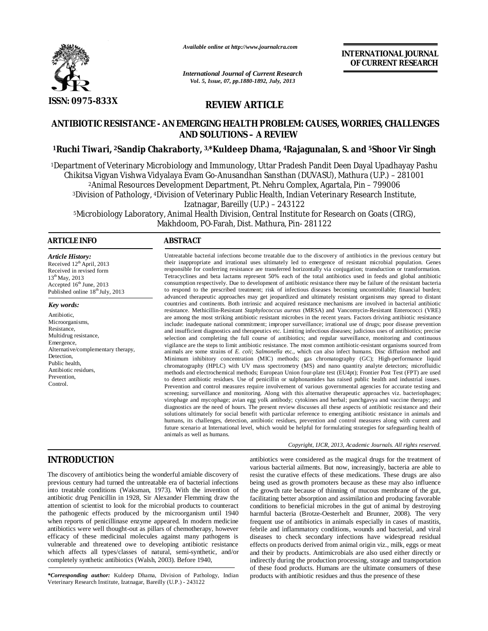

*Available online at http://www.journalcra.com*

*International Journal of Current Research Vol. 5, Issue, 07, pp.1880-1892, July, 2013*

**INTERNATIONAL JOURNAL OF CURRENT RESEARCH** 

# **REVIEW ARTICLE**

# **ANTIBIOTIC RESISTANCE - AN EMERGING HEALTH PROBLEM: CAUSES, WORRIES, CHALLENGES AND SOLUTIONS – A REVIEW**

# **<sup>1</sup>Ruchi Tiwari, 2Sandip Chakraborty, 3,\*Kuldeep Dhama, 4Rajagunalan, S. and 5Shoor Vir Singh**

Department of Veterinary Microbiology and Immunology, Uttar Pradesh Pandit Deen Dayal Upadhayay Pashu Chikitsa Vigyan Vishwa Vidyalaya Evam Go-Anusandhan Sansthan (DUVASU), Mathura (U.P.) – 281001 Animal Resources Development Department, Pt. Nehru Complex, Agartala, Pin – 799006 Division of Pathology, 4Division of Veterinary Public Health, Indian Veterinary Research Institute, Izatnagar, Bareilly (U.P.) – 243122 Microbiology Laboratory, Animal Health Division, Central Institute for Research on Goats (CIRG),

Makhdoom, PO-Farah, Dist. Mathura, Pin- 281122

# **ARTICLE INFO ABSTRACT**

*Article History:* Received 12<sup>th</sup> April, 2013 Received in revised form  $13^{th}$  May, 2013 Accepted  $16<sup>th</sup>$  June, 2013 Published online  $18^{th}$  July, 2013

#### *Key words:*

Antibiotic, Microorganisms, Resistance, Multidrug resistance, Emergence, Alternative/complementary therapy, Detection, Public health, Antibiotic residues, Prevention, Control.

Untreatable bacterial infections become treatable due to the discovery of antibiotics in the previous century but their inappropriate and irrational uses ultimately led to emergence of resistant microbial population. Genes responsible for conferring resistance are transferred horizontally via conjugation; transduction or transformation. Tetracyclines and beta lactams represent 50% each of the total antibiotics used in feeds and global antibiotic consumption respectively. Due to development of antibiotic resistance there may be failure of the resistant bacteria to respond to the prescribed treatment; risk of infectious diseases becoming uncontrollable; financial burden; advanced therapeutic approaches may get jeopardized and ultimately resistant organisms may spread to distant countries and continents. Both intrinsic and acquired resistance mechanisms are involved in bacterial antibiotic resistance. Methicillin-Resistant *Staphylococcus aureus* (MRSA) and Vancomycin-Resistant Enterococci (VRE) are among the most striking antibiotic resistant microbes in the recent years. Factors driving antibiotic resistance include: inadequate national commitment; improper surveillance; irrational use of drugs; poor disease prevention and insufficient diagnostics and therapeutics etc. Limiting infectious diseases; judicious uses of antibiotics; precise selection and completing the full course of antibiotics; and regular surveillance, monitoring and continuous vigilance are the steps to limit antibiotic resistance. The most common antibiotic-resistant organisms sourced from animals are some strains of *E. coli*; *Salmonella* etc., which can also infect humans. Disc diffusion method and Minimum inhibitory concentration (MIC) methods; gas chromatography (GC); High-performance liquid chromatography (HPLC) with UV mass spectrometry (MS) and nano quantity analyte detectors; microfluidic methods and electrochemical methods; European Union four-plate test (EU4pt); Frontier Post Test (FPT) are used to detect antibiotic residues. Use of penicillin or sulphonamides has raised public health and industrial issues. Prevention and control measures require involvement of various governmental agencies for accurate testing and screening; surveillance and monitoring. Along with this alternative therapeutic approaches viz. bacteriophages; virophage and mycophage; avian egg yolk antibody; cytokines and herbal; panchgavya and vaccine therapy; and diagnostics are the need of hours. The present review discusses all these aspects of antibiotic resistance and their solutions ultimately for social benefit with particular reference to emerging antibiotic resistance in animals and humans, its challenges, detection, antibiotic residues, prevention and control measures along with current and future scenario at International level, which would be helpful for formulating strategies for safeguarding health of animals as well as humans.

#### *Copyright, IJCR, 2013, Academic Journals. All rights reserved.*

# **INTRODUCTION**

The discovery of antibiotics being the wonderful amiable discovery of previous century had turned the untreatable era of bacterial infections into treatable conditions (Waksman, 1973). With the invention of antibiotic drug Penicillin in 1928, Sir Alexander Flemming draw the attention of scientist to look for the microbial products to counteract the pathogenic effects produced by the microorganism until 1940 when reports of penicillinase enzyme appeared. In modern medicine antibiotics were well thought-out as pillars of chemotherapy, however efficacy of these medicinal molecules against many pathogens is vulnerable and threatened owe to developing antibiotic resistance which affects all types/classes of natural, semi-synthetic, and/or completely synthetic antibiotics (Walsh, 2003). Before 1940,

*\*Corresponding author:* Kuldeep Dhama, Division of Pathology, Indian Veterinary Research Institute, Izatnagar, Bareilly (U.P.) - 243122

antibiotics were considered as the magical drugs for the treatment of various bacterial ailments. But now, increasingly, bacteria are able to resist the curative effects of these medications. These drugs are also being used as growth promoters because as these may also influence the growth rate because of thinning of mucous membrane of the gut, facilitating better absorption and assimilation and producing favorable conditions to beneficial microbes in the gut of animal by destroying harmful bacteria (Brotze-Oesterhelt and Brunner, 2008). The very frequent use of antibiotics in animals especially in cases of mastitis, febrile and inflammatory conditions, wounds and bacterial, and viral diseases to check secondary infections have widespread residual effects on products derived from animal origin viz., milk, eggs or meat and their by products. Antimicrobials are also used either directly or indirectly during the production processing, storage and transportation of these food products. Humans are the ultimate consumers of these products with antibiotic residues and thus the presence of these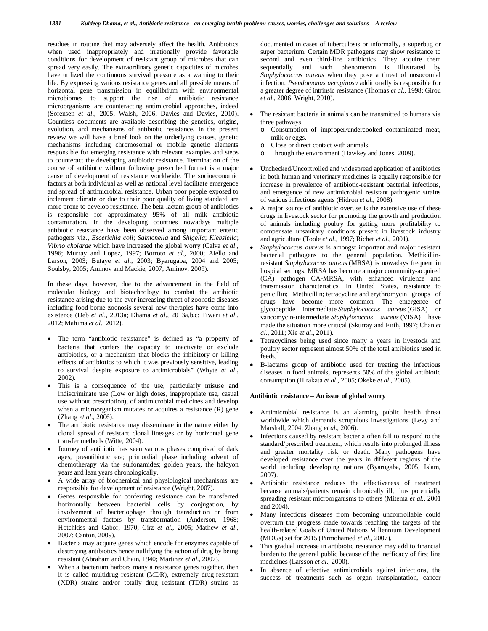residues in routine diet may adversely affect the health. Antibiotics when used inappropriately and irrationally provide favorable conditions for development of resistant group of microbes that can spread very easily. The extraordinary genetic capacities of microbes have utilized the continuous survival pressure as a warning to their life. By expressing various resistance genes and all possible means of horizontal gene transmission in equilibrium with environmental microbiomes to support the rise of antibiotic resistance microorganisms are counteracting antimicrobial approaches, indeed (Sorensen *et al*., 2005; Walsh, 2006; Davies and Davies, 2010). Countless documents are available describing the genetics, origins, evolution, and mechanisms of antibiotic resistance. In the present review we will have a brief look on the underlying causes, genetic mechanisms including chromosomal or mobile genetic elements responsible for emerging resistance with relevant examples and steps to counteract the developing antibiotic resistance. Termination of the course of antibiotic without following prescribed format is a major cause of development of resistance worldwide. The socioeconomic factors at both individual as well as national level facilitate emergence and spread of antimicrobial resistance. Urban poor people exposed to inclement climate or due to their poor quality of living standard are more prone to develop resistance. The beta-lactam group of antibiotics is responsible for approximately 95% of all milk antibiotic contamination. In the developing countries nowadays multiple antibiotic resistance have been observed among important enteric pathogens viz., *Escerichia coli*; *Salmonella* and *Shigella*; *Klebsiella*; *Vibrio cholarae* which have increased the global worry (Calva *et al*., 1996; Murray and Lopez, 1997; Borroto *et al*., 2000; Aiello and Larson, 2003; Butaye *et al*., 2003; Byarugaba, 2004 and 2005; Soulsby, 2005; Aminov and Mackie, 2007; Aminov, 2009).

In these days, however, due to the advancement in the field of molecular biology and biotechnology to combat the antibiotic resistance arising due to the ever increasing threat of zoonotic diseases including food-borne zoonosis several new therapies have come into existence (Deb *et al*., 2013a; Dhama *et al*., 2013a,b,c; Tiwari *et al*., 2012; Mahima *et al*., 2012).

- The term "antibiotic resistance" is defined as "a property of bacteria that confers the capacity to inactivate or exclude antibiotics, or a mechanism that blocks the inhibitory or killing effects of antibiotics to which it was previously sensitive, leading to survival despite exposure to antimicrobials" (Whyte *et al*., 2002).
- This is a consequence of the use, particularly misuse and indiscriminate use (Low or high doses, inappropriate use, casual use without prescription), of antimicrobial medicines and develop when a microorganism mutates or acquires a resistance (R) gene (Zhang *et al*., 2006).
- The antibiotic resistance may disseminate in the nature either by clonal spread of resistant clonal lineages or by horizontal gene transfer methods (Witte, 2004).
- Journey of antibiotic has seen various phases comprised of dark ages, preantibiotic era; primordial phase including advent of chemotherapy via the sulfonamides; golden years, the halcyon years and lean years chronologically.
- A wide array of biochemical and physiological mechanisms are responsible for development of resistance (Wright, 2007).
- Genes responsible for conferring resistance can be transferred horizontally between bacterial cells by conjugation, by involvement of bacteriophage through transduction or from environmental factors by transformation (Anderson, 1968; Hotchkiss and Gabor, 1970; Cirz *et al*., 2005; Mathew *et al*., 2007; Canton, 2009).
- Bacteria may acquire genes which encode for enzymes capable of destroying antibiotics hence nullifying the action of drug by being resistant (Abraham and Chain, 1940; Martinez *et al*., 2007).
- When a bacterium harbors many a resistance genes together, then it is called multidrug resistant (MDR), extremely drug-resistant (XDR) strains and/or totally drug resistant (TDR) strains as

documented in cases of tuberculosis or informally, a superbug or super bacterium. Certain MDR pathogens may show resistance to second and even third-line antibiotics. They acquire them sequentially and such phenomenon is illustrated by *Staphylococcus aureus* when they pose a threat of nosocomial infection. *Pseudomonas aeruginosa* additionally is responsible for a greater degree of intrinsic resistance (Thomas *et al*., 1998; Girou *et al*., 2006; Wright, 2010).

- The resistant bacteria in animals can be transmitted to humans via three pathways:
	- o Consumption of improper/undercooked contaminated meat, milk or eggs.
	- o Close or direct contact with animals.
	- o Through the environment (Hawkey and Jones, 2009).
- Unchecked/Uncontrolled and widespread application of antibiotics in both human and veterinary medicines is equally responsible for increase in prevalence of antibiotic-resistant bacterial infections, and emergence of new antimicrobial resistant pathogenic strains of various infectious agents (Hidron *et al*., 2008).
- A major source of antibiotic overuse is the extensive use of these drugs in livestock sector for promoting the growth and production of animals including poultry for getting more profitability to compensate unsanitary conditions present in livestock industry and agriculture (Toole *et al*., 1997; Richet *et al*., 2001).
- *Staphylococcus aureus* is amongst important and major resistant bacterial pathogens to the general population. Methicillinresistant *Staphylococcus aureus* (MRSA) is nowadays frequent in hospital settings. MRSA has become a major community-acquired (CA) pathogen CA-MRSA, with enhanced virulence and transmission characteristics. In United States, resistance to penicillin; Methicillin; tetracycline and erythromycin groups of drugs have become more common. The emergence of glycopeptide intermediate *Staphylococcus aureus* (GISA) or vancomycin-intermediate *Staphylococcus aureus* (VISA) have made the situation more critical (Skurray and Firth, 1997; Chan *et al*., 2011; Xie *et al*., 2011).
- Tetracyclines being used since many a years in livestock and poultry sector represent almost 50% of the total antibiotics used in feeds.
- Β-lactams group of antibiotic used for treating the infectious diseases in food animals, represents 50% of the global antibiotic consumption (Hirakata *et al*., 2005; Okeke *et al*., 2005).

## **Antibiotic resistance – An issue of global worry**

- Antimicrobial resistance is an alarming public health threat worldwide which demands scrupulous investigations (Levy and Marshall, 2004; Zhang *et al*., 2006).
- Infections caused by resistant bacteria often fail to respond to the standard/prescribed treatment, which results into prolonged illness and greater mortality risk or death. Many pathogens have developed resistance over the years in different regions of the world including developing nations (Byarugaba, 2005; Islam, 2007).
- Antibiotic resistance reduces the effectiveness of treatment because animals/patients remain chronically ill, thus potentially spreading resistant microorganisms to others (Mitema *et al*., 2001 and 2004).
- Many infectious diseases from becoming uncontrollable could overturn the progress made towards reaching the targets of the health-related Goals of United Nations Millennium Development (MDGs) set for 2015 (Pirmohamed *et al*., 2007).
- This gradual increase in antibiotic resistance may add to financial burden to the general public because of the inefficacy of first line medicines (Larsson *et al*., 2000).
- In absence of effective antimicrobials against infections, the success of treatments such as organ transplantation, cancer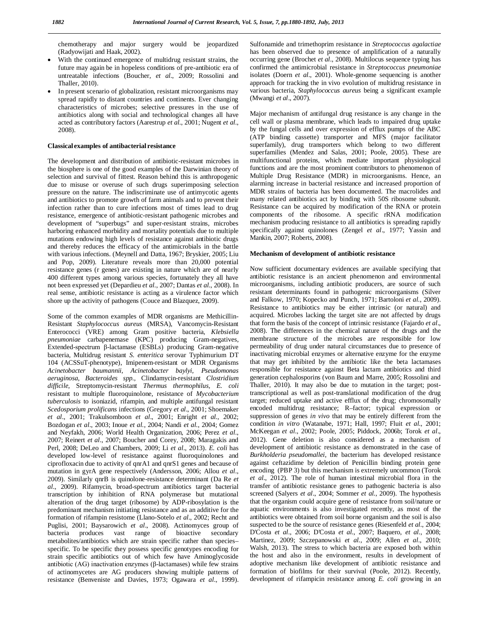chemotherapy and major surgery would be jeopardized (Radyowijati and Haak, 2002).

- With the continued emergence of multidrug resistant strains, the future may again be in hopeless conditions of pre-antibiotic era of untreatable infections (Boucher, *et al*., 2009; Rossolini and Thaller, 2010).
- In present scenario of globalization, resistant microorganisms may spread rapidly to distant countries and continents. Ever changing characteristics of microbes; selective pressures in the use of antibiotics along with social and technological changes all have acted as contributory factors (Aarestrup *et al*., 2001; Nugent *et al*., 2008).

## **Classical examples of antibacterial resistance**

The development and distribution of antibiotic-resistant microbes in the biosphere is one of the good examples of the Darwinian theory of selection and survival of fittest. Reason behind this is anthropogenic due to misuse or overuse of such drugs superimposing selection pressure on the nature. The indiscriminate use of antimycotic agents and antibiotics to promote growth of farm animals and to prevent their infection rather than to cure infections most of times lead to drug resistance, emergence of antibiotic-resistant pathogenic microbes and development of "superbugs" and super-resistant strains, microbes harboring enhanced morbidity and mortality potentials due to multiple mutations endowing high levels of resistance against antibiotic drugs and thereby reduces the efficacy of the antimicrobials in the battle with various infections. (Meynell and Datta, 1967; Bryskier, 2005; Liu and Pop, 2009). Literature reveals more than 20,000 potential resistance genes (r genes) are existing in nature which are of nearly 400 different types among various species, fortunately they all have not been expressed yet (Depardieu *et al*., 2007; Dantas *et al*., 2008). In real sense, antibiotic resistance is acting as a virulence factor which shore up the activity of pathogens (Couce and Blazquez, 2009).

Some of the common examples of MDR organisms are Methicillin-Resistant *Staphylococcus aureus* (MRSA), Vancomycin-Resistant Enterococci (VRE) among Gram positive bacteria, *Klebsiella pneumoniae* carbapenemase (KPC) producing Gram-negatives, Extended-spectrum β-lactamase (ESBLs) producing Gram-negative bacteria, Multidrug resistant *S. enteritica* serovar Typhimurium DT 104 (ACSSuT-phenotype), Imipenem-resistant or MDR Organisms *Acinetobacter baumannii, Acinetobacter baylyi, Pseudomonas aeruginosa, Bacteroides spp.,* Clindamycin-resistant *Clostridium difficile,* Streptomycin-resistant *Thermus thermophilus, E. coli* resistant to multiple fluoroquinolone, resistance of *Mycobacterium tuberculosis* to isoniazid, rifampin, and multiple antifungal resistant *Scedosporium prolificans* infections (Gregory *et al*., 2001; Shoemaker *et al*., 2001; Trakulsomboon *et al*., 2001; Enright *et al*., 2002; Bozdogan *et al*., 2003; Inoue *et al*., 2004; Nandi *et al*., 2004; Gomez and Neyfakh, 2006; World Health Organization, 2006; Perez *et al*., 2007; Reinert *et al*., 2007; Boucher and Corey, 2008; Maragakis and Perl, 2008; DeLeo and Chambers, 2009; Li *et al*., 2013). *E. coli* has developed low-level of resistance against fluoroquinolones and ciprofloxacin due to activity of qnrA1 and qnrS1 genes and because of mutation in gyrA gene respectively (Andersson, 2006; Allou *et al*., 2009). Similarly qnrB is quinolone-resistance determinant (Da Re *et al*., 2009). Rifamycin, broad-spectrum antibiotics target bacterial transcription by inhibition of RNA polymerase but mutational alteration of the drug target (ribosome) by ADP-ribosylation is the predominant mechanism initiating resistance and as an additive for the formation of rifampin resistome (Llano-Sotelo *et al*., 2002; Recht and Puglisi, 2001; Baysarowich *et al*., 2008). Actinomyces group of bacteria produces vast range of bioactive secondary metabolites/antibiotics which are strain specific rather than species– specific. To be specific they possess specific genotypes encoding for strain specific antibiotics out of which few have Aminoglycoside antibiotic (AG) inactivation enzymes (β-lactamases) while few strains of actinomycetes are AG producers showing multiple patterns of resistance (Benveniste and Davies, 1973; Ogawara *et al*., 1999). Sulfonamide and trimethoprim resistance in *Streptococcus agalactiae* has been observed due to presence of amplification of a naturally occurring gene (Brochet *et al*., 2008). Multilocus sequence typing has confirmed the antimicrobial resistance in *Streptococcus pneumoniae* isolates (Doern *et al*., 2001). Whole-genome sequencing is another approach for tracking the in vivo evolution of multidrug resistance in various bacteria, *Staphylococcus aureus* being a significant example (Mwangi *et al*., 2007).

Major mechanism of antifungal drug resistance is any change in the cell wall or plasma membrane, which leads to impaired drug uptake by the fungal cells and over expression of efflux pumps of the ABC (ATP binding cassette) transporter and MFS (major facilitator superfamily), drug transporters which belong to two different superfamilies (Mendez and Salas, 2001; Poole, 2005). These are multifunctional proteins, which mediate important physiological functions and are the most prominent contributors to phenomenon of Multiple Drug Resistance (MDR) in microorganisms. Hence, an alarming increase in bacterial resistance and increased proportion of MDR strains of bacteria has been documented. The macrolides and many related antibiotics act by binding with 50S ribosome subunit. Resistance can be acquired by modification of the RNA or protein components of the ribosome. A specific rRNA modification mechanism producing resistance to all antibiotics is spreading rapidly specifically against quinolones (Zengel *et al*., 1977; Yassin and Mankin, 2007; Roberts, 2008).

#### **Mechanism of development of antibiotic resistance**

Now sufficient documentary evidences are available specifying that antibiotic resistance is an ancient phenomenon and environmental microorganisms, including antibiotic producers, are source of such resistant determinants found in pathogenic microorganisms (Silver and Falkow, 1970; Kopecko and Punch, 1971; Bartoloni *et al*., 2009). Resistance to antibiotics may be either intrinsic (or natural) and acquired. Microbes lacking the target site are not affected by drugs that form the basis of the concept of intrinsic resistance (Fajardo *et al*., 2008). The differences in the chemical nature of the drugs and the membrane structure of the microbes are responsible for low permeability of drug under natural circumstances due to presence of inactivating microbial enzymes or alternative enzyme for the enzyme that may get inhibited by the antibiotic like the beta lactamases responsible for resistance against Beta lactam antibiotics and third generation cephalosporins (von Baum and Marre, 2005; Rossolini and Thaller, 2010). It may also be due to mutation in the target; posttranscriptional as well as post-translational modification of the drug target; reduced uptake and active efflux of the drug; chromosomally encoded multidrug resistance; R–factor; typical expression or suppression of genes *in vivo* that may be entirely different from the condition *in vitro* (Watanabe, 1971; Hall, 1997; Fluit *et al*., 2001; McKeegan *et al*., 2002; Poole, 2005; Piddock, 2006b; Torok *et al*., 2012). Gene deletion is also considered as a mechanism of development of antibiotic resistance as demonstrated in the case of *Burkholderia pseudomallei*, the bacterium has developed resistance against ceftazidime by deletion of Penicillin binding protein gene encoding (PBP 3) but this mechanism is extremely uncommon (Torok *et al*., 2012). The role of human intestinal microbial flora in the transfer of antibiotic resistance genes to pathogenic bacteria is also screened (Salyers *et al*., 2004; Sommer *et al*., 2009). The hypothesis that the organism could acquire gene of resistance from soil/nature or aquatic environments is also investigated recently, as most of the antibiotics were obtained from soil borne organism and the soil is also suspected to be the source of resistance genes (Riesenfeld *et al*., 2004; D'Costa *et al*., 2006; D'Costa *et al*., 2007; Baquero, *et al*., 2008; Martinez, 2009; Szczepanowski *et al*., 2009; Allen *et al*., 2010; Walsh, 2013). The stress to which bacteria are exposed both within the host and also in the environment, results in development of adoptive mechanism like development of antibiotic resistance and formation of biofilms for their survival (Poole, 2012). Recently, development of rifampicin resistance among *E. coli* growing in an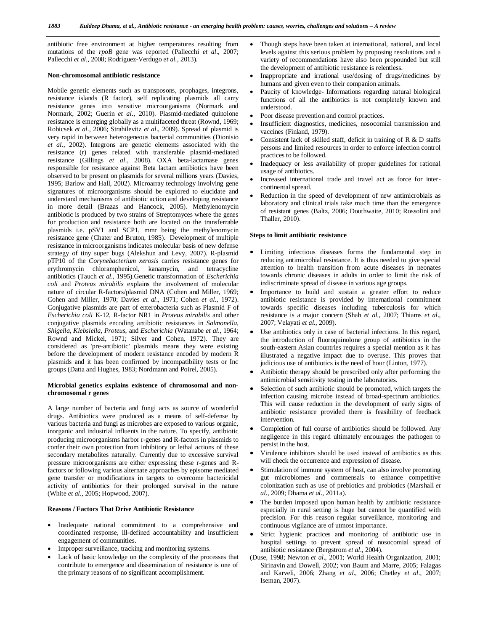antibiotic free environment at higher temperatures resulting from mutations of the *rpoB* gene was reported (Pallecchi *et al*., 2007; Pallecchi *et al*., 2008; Rodríguez-Verdugo *et al*., 2013).

## **Non-chromosomal antibiotic resistance**

Mobile genetic elements such as transposons, prophages, integrons, resistance islands (R factor), self replicating plasmids all carry resistance genes into sensitive microorganisms (Normark and Normark, 2002; Guerin *et al*., 2010). Plasmid-mediated quinolone resistance is emerging globally as a multifaceted threat (Rownd, 1969; Robicsek *et al*., 2006; Strahilevitz *et al*., 2009). Spread of plasmid is very rapid in between heterogeneous bacterial communities (Dionisio *et al*., 2002). Integrons are genetic elements associated with the resistance (r) genes related with transferable plasmid-mediated resistance (Gillings *et al*., 2008). OXA beta-lactamase genes responsible for resistance against Beta lactam antibiotics have been observed to be present on plasmids for several millions years (Davies, 1995; Barlow and Hall, 2002). Microarray technology involving gene signatures of microorganisms should be explored to elucidate and understand mechanisms of antibiotic action and developing resistance in more detail (Brazas and Hancock, 2005). Methylenomycin antibiotic is produced by two strains of Streptomyces where the genes for production and resistance both are located on the transferrable plasmids i.e. pSV1 and SCP1, mmr being the methylenomycin resistance gene (Chater and Bruton, 1985). Development of multiple resistance in microorganisms indicates molecular basis of new defense strategy of tiny super bugs (Alekshun and Levy, 2007). R-plasmid pTP10 of the *Corynebacterium xerosis* carries resistance genes for erythromycin chloramphenicol, kanamycin, and tetracycline antibiotics (Tauch *et al*., 1995).Genetic transformation of *Escherichia coli* and *Proteus mirabilis* explains the involvement of molecular nature of circular R-factors/plasmid DNA (Cohen and Miller, 1969; Cohen and Miller, 1970; Davies *et al*., 1971; Cohen *et al*., 1972). Conjugative plasmids are part of enterobacteria such as Plasmid F of *Escherichia coli* K-12, R-factor NR1 in *Proteus mirabilis* and other conjugative plasmids encoding antibiotic resistances in *Salmonella, Shigella, Klebsiella, Proteus*, and *Escherichia* (Watanabe *et al*., 1964; Rownd and Mickel, 1971; Silver and Cohen, 1972)*.* They are considered as 'pre-antibiotic' plasmids means they were existing before the development of modern resistance encoded by modern R plasmids and it has been confirmed by incompatibility tests or Inc groups (Datta and Hughes, 1983; Nordmann and Poirel, 2005).

## **Microbial genetics explains existence of chromosomal and nonchromosomal r genes**

A large number of bacteria and fungi acts as source of wonderful drugs. Antibiotics were produced as a means of self-defense by various bacteria and fungi as microbes are exposed to various organic, inorganic and industrial influents in the nature. To specify, antibiotic producing microorganisms harbor r-genes and R-factors in plasmids to confer their own protection from inhibitory or lethal actions of these secondary metabolites naturally. Currently due to excessive survival pressure microorganisms are either expressing these r-genes and Rfactors or following various alternate approaches by episome mediated gene transfer or modifications in targets to overcome bactericidal activity of antibiotics for their prolonged survival in the nature (White *et al*., 2005; Hopwood, 2007).

## **Reasons / Factors That Drive Antibiotic Resistance**

- Inadequate national commitment to a comprehensive and coordinated response, ill-defined accountability and insufficient engagement of communities.
- Improper surveillance, tracking and monitoring systems.
- Lack of basic knowledge on the complexity of the processes that contribute to emergence and dissemination of resistance is one of the primary reasons of no significant accomplishment.
- Though steps have been taken at international, national, and local levels against this serious problem by proposing resolutions and a variety of recommendations have also been propounded but still the development of antibiotic resistance is relentless.
- Inappropriate and irrational use/dosing of drugs/medicines by humans and given even to their companion animals.
- Paucity of knowledge- Informations regarding natural biological functions of all the antibiotics is not completely known and understood.
- Poor disease prevention and control practices.
- Insufficient diagnostics, medicines, nosocomial transmission and vaccines (Finland, 1979).
- Consistent lack of skilled staff, deficit in training of R & D staffs persons and limited resources in order to enforce infection control practices to be followed.
- Inadequacy or less availability of proper guidelines for rational usage of antibiotics.
- Increased international trade and travel act as force for intercontinental spread.
- Reduction in the speed of development of new antimicrobials as laboratory and clinical trials take much time than the emergence of resistant genes (Baltz, 2006; Douthwaite, 2010; Rossolini and Thaller, 2010).

## **Steps to limit antibiotic resistance**

- Limiting infectious diseases forms the fundamental step in reducing antimicrobial resistance. It is thus needed to give special attention to health transition from acute diseases in neonates towards chronic diseases in adults in order to limit the risk of indiscriminate spread of disease in various age groups.
- Importance to build and sustain a greater effort to reduce antibiotic resistance is provided by international commitment towards specific diseases including tuberculosis for which resistance is a major concern (Shah *et al*., 2007; Thiams *et al*., 2007; Velayati *et al*., 2009).
- Use antibiotics only in case of bacterial infections. In this regard, the introduction of fluoroquinolone group of antibiotics in the south-eastern Asian countries requires a special mention as it has illustrated a negative impact due to overuse. This proves that judicious use of antibiotics is the need of hour (Linton, 1977).
- Antibiotic therapy should be prescribed only after performing the antimicrobial sensitivity testing in the laboratories.
- Selection of such antibiotic should be promoted, which targets the infection causing microbe instead of broad-spectrum antibiotics. This will cause reduction in the development of early signs of antibiotic resistance provided there is feasibility of feedback intervention.
- Completion of full course of antibiotics should be followed. Any negligence in this regard ultimately encourages the pathogen to persist in the host.
- Virulence inhibitors should be used instead of antibiotics as this will check the occurrence and expression of disease.
- Stimulation of immune system of host, can also involve promoting gut microbiomes and commensals to enhance competitive colonization such as use of prebiotics and probiotics (Marshall *et al*., 2009; Dhama *et al*., 2011a).
- The burden imposed upon human health by antibiotic resistance especially in rural setting is huge but cannot be quantified with precision. For this reason regular surveillance, monitoring and continuous vigilance are of utmost importance.
- Strict hygienic practices and monitoring of antibiotic use in hospital settings to prevent spread of nosocomial spread of antibiotic resistance (Bergstrom *et al*., 2004).
- (Duse, 1998; Newton *et al*., 2001; World Health Organization, 2001; Sirinavin and Dowell, 2002; von Baum and Marre, 2005; Falagas and Karveli, 2006; Zhang *et al*., 2006; Chetley *et al*., 2007; Iseman, 2007).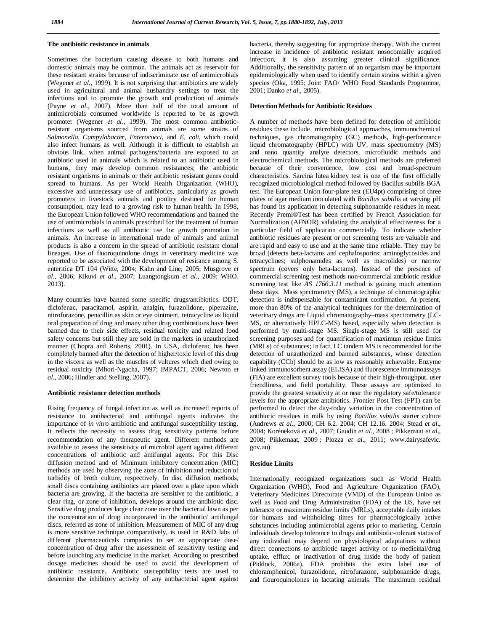## **The antibiotic resistance in animals**

Sometimes the bacterium causing disease to both humans and domestic animals may be common. The animals act as reservoir for these resistant strains because of indiscriminate use of antimicrobials (Wegener *et al*., 1999). It is not surprising that antibiotics are widely used in agricultural and animal husbandry settings to treat the infections and to promote the growth and production of animals (Payne *et al*., 2007). More than half of the total amount of antimicrobials consumed worldwide is reported to be as growth promoter (Wegener *et al*., 1999). The most common antibioticresistant organisms sourced from animals are some strains of *Salmonella, Campylobacter, Enterococci,* and *E. coli*, which could also infect humans as well. Although it is difficult to establish an obvious link, when animal pathogens/bacteria are exposed to an antibiotic used in animals which is related to an antibiotic used in humans, they may develop common resistances; the antibiotic resistant organisms in animals or their antibiotic resistant genes could spread to humans. As per World Health Organization (WHO), excessive and unnecessary use of antibiotics, particularly as growth promoters in livestock animals and poultry destined for human consumption, may lead to a growing risk to human health. In 1998, the European Union followed WHO recommendations and banned the use of antimicrobials in animals prescribed for the treatment of human infections as well as all antibiotic use for growth promotion in animals. An increase in international trade of animals and animal products is also a concern in the spread of antibiotic resistant clonal lineages. Use of fluoroquinolone drugs in veterinary medicine was reported to be associated with the development of resitance among S. enteritica DT 104 (Witte, 2004; Kahn and Line, 2005; Musgrove *et al*., 2006; Kikuvi *et al*., 2007; Luangtongkum *et al*., 2009; WHO, 2013).

Many countries have banned some specific drugs/antibiotics. DDT, diclofenac, paracitamol, aspirin, analgin, furazolidone, piperazine, nitrofurazone, penicillin as skin or eye ointment, tetracycline as liquid oral preparation of drug and many other drug combinations have been banned due to their side effects, residual toxicity and related food safety concerns but still they are sold in the markets in unauthorized manner (Chopra and Roberts, 2001). In USA, diclofenac has been completely banned after the detection of higher/toxic level of this drug in the viscera as well as the muscles of vultures which died owing to residual toxicity (Mbori-Ngacha, 1997; IMPACT, 2006; Newton *et al*., 2006; Hindler and Stelling, 2007).

## **Antibiotic resistance detection methods**

Rising frequency of fungal infection as well as increased reports of resistance to antibacterial and antifungal agents indicates the importance of *in vitro* antibiotic and antifungal susceptibility testing. It reflects the necessity to assess drug sensitivity patterns before recommendation of any therapeutic agent. Different methods are available to assess the sensitivity of microbial agent against different concentrations of antibiotic and antifungal agents. For this Disc diffusion method and of Minimum inhibitory concentration (MIC) methods are used by observing the zone of inhibition and reduction of turbidity of broth culture, respectively. In disc diffusion methods, small discs containing antibiotics are placed over a plate upon which bacteria are growing. If the bacteria are sensitive to the antibiotic, a clear ring, or zone of inhibition, develops around the antibiotic disc. Sensitive drug produces large clear zone over the bacterial lawn as per the concentration of drug incorporated in the antibiotic/ antifungal discs, referred as zone of inhibition. Measurement of MIC of any drug is more sensitive technique comparatively, is used in R&D labs of different pharmaceuticals companies to set an appropriate dose/ concentration of drug after the assessment of sensitivity testing and before launching any medicine in the market. According to prescribed dosage medicines should be used to avoid the development of antibiotic resistance. Antibiotic susceptibility tests are used to determine the inhibitory activity of any antibacterial agent against bacteria, thereby suggesting for appropriate therapy. With the current increase in incidence of antibiotic resistant nosocomially acquired infection, it is also assuming greater clinical significance. Additionally, the sensitivity pattern of an organism may be important epidemiologically when used to identify certain strains within a given species (Oka, 1995; Joint FAO/ WHO Food Standards Programme, 2001; Danko *et al*., 2005).

## **Detection Methods for Antibiotic Residues**

A number of methods have been defined for detection of antibiotic residues these include microbiological approaches, immunochemical techniques, gas chromatography (GC) methods, high-performance liquid chromatography (HPLC) with UV, mass spectrometry (MS) and nano quantity analyte detectors, microfluidic methods and electrochemical methods. The microbiological methods are preferred because of their convenience, low cost and broad-spectrum characteristics. Sarcina lutea kidney test is one of the first officially recognized microbiological method followed by Bacillus subtilis BGA test. The European Union four-plate test (EU4pt) comprising of three plates of agar medium inoculated with *Bacillus subtilis* at varying pH has found its application in detecting sulphonamide residues in meat. Recently Premi®Test has been certified by French Association for Normalization (AFNOR) validating the analytical effectiveness for a particular field of application commercially. To indicate whether antibiotic residues are present or not screening tests are valuable and are rapid and easy to use and at the same time reliable. They may be broad (detects beta-lactams and cephalosporins; aminoglycosides and tetracyclines; sulphonamides as well as macrolides) or narrow spectrum (covers only beta-lactams). Instead of the presence of commercial screening test methods non-commercial antibiotic residue screening test like *AS 1766.3.11* method is gaining much attention these days. Mass spectrometry (MS), a technique of chromatographic detection is indispensable for contaminant confirmation. At present, more than 80% of the analytical techniques for the determination of veterinary drugs are Liquid chromatography–mass spectrometry (LC-MS, or alternatively HPLC-MS) based, especially when detection is performed by multi-stage MS. Single-stage MS is still used for screening purposes and for quantification of maximum residue limits (MRLs) of substances; in fact, LC tandem MS is recommended for the detection of unauthorized and banned substances, whose detection capability (CCb) should be as low as reasonably achievable. Enzyme linked immunosorbent assay (ELISA) and fluorescence immunoassays (FIA) are excellent survey tools because of their high-throughput, user friendliness, and field portability. These assays are optimized to provide the greatest sensitivity at or near the regulatory safe/tolerance levels for the appropriate antibiotics. Frontier Post Test (FPT) can be performed to detect the day-today variation in the concentration of antibiotic residues in milk by using *Bacillus subtilis* starter culture (Andrews *et al*., 2000; CH 6.2. 2004; CH 12.16. 2004; Stead *et al*., 2004; Koréneková *et al*., 2007; Gaudin *et al*., 2008 ; Pikkemaat *et al*., 2008; Pikkemaat, 2009 ; Plozza *et al*., 2011; www.dairysafevic. gov.au).

#### **Residue Limits**

Internationally recognized organizations such as World Health Organization (WHO), Food and Agriculture Organization (FAO), Veterinary Medicines Directorate (VMD) of the European Union as well as Food and Drug Administration (FDA) of the US, have set tolerance or maximum residue limits (MRLs), acceptable daily intakes for humans and withholding times for pharmacologically active substances including antimicrobial agents prior to marketing. Certain individuals develop tolerance to drugs and antibiotic-tolerant status of any individual may depend on physiological adaptations without direct connections to antibiotic target activity or to medicinal/drug uptake, efflux, or inactivation of drug inside the body of patient (Piddock, 2006a). FDA prohibits the extra label use of chloramphenicol, furazolidone, nitrofurazone, sulphonamide drugs, and flouroquinolones in lactating animals. The maximum residual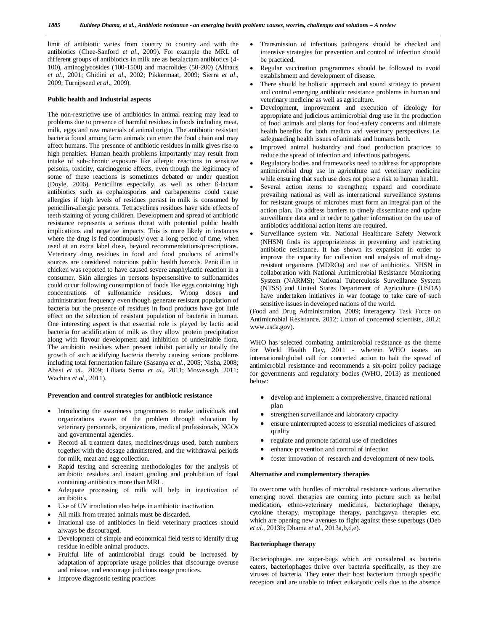limit of antibiotic varies from country to country and with the antibiotics (Chee-Sanford *et al*., 2009). For example the MRL of different groups of antibiotics in milk are as betalactam antibiotics (4- 100), aminoglycosides (100-1500) and macrolides (50-200) (Althaus *et al*., 2001; Ghidini *et al*., 2002; Pikkermaat, 2009; Sierra *et al*., 2009; Turnipseed *et al*., 2009).

## **Public health and Industrial aspects**

The non-restrictive use of antibiotics in animal rearing may lead to problems due to presence of harmful residues in foods including meat, milk, eggs and raw materials of animal origin. The antibiotic resistant bacteria found among farm animals can enter the food chain and may affect humans. The presence of antibiotic residues in milk gives rise to high penalties. Human health problems importantly may result from intake of sub-chronic exposure like allergic reactions in sensitive persons, toxicity, carcinogenic effects, even though the legitimacy of some of these reactions is sometimes debated or under question (Doyle, 2006). Penicillins especially, as well as other ß-lactam antibiotics such as cephalosporins and carbapenems could cause allergies if high levels of residues persist in milk is consumed by penicillin-allergic persons. Tetracyclines residues have side effects of teeth staining of young children. Development and spread of antibiotic resistance represents a serious threat with potential public health implications and negative impacts. This is more likely in instances where the drug is fed continuously over a long period of time, when used at an extra label dose, beyond recommendations/prescriptions. Veterinary drug residues in food and food products of animal's sources are considered notorious public health hazards. Penicillin in chicken was reported to have caused severe anaphylactic reaction in a consumer. Skin allergies in persons hypersensitive to sulfonamides could occur following consumption of foods like eggs containing high concentrations of sulfonamide residues. Wrong doses and administration frequency even though generate resistant population of bacteria but the presence of residues in food products have got little effect on the selection of resistant population of bacteria in human. One interesting aspect is that essential role is played by lactic acid bacteria for acidification of milk as they allow protein precipitation along with flavour development and inhibition of undesirable flora. The antibiotic residues when present inhibit partially or totally the growth of such acidifying bacteria thereby causing serious problems including total fermentation failure (Sasanya *et al*., 2005; Nisha, 2008; Abasi *et al*., 2009; Liliana Serna *et al*., 2011; Movassagh, 2011; Wachira *et al*., 2011).

## **Prevention and control strategies for antibiotic resistance**

- Introducing the awareness programmes to make individuals and organizations aware of the problem through education by veterinary personnels, organizations, medical professionals, NGOs and governmental agencies.
- Record all treatment dates, medicines/drugs used, batch numbers together with the dosage administered, and the withdrawal periods for milk, meat and egg collection.
- Rapid testing and screening methodologies for the analysis of antibiotic residues and instant grading and prohibition of food containing antibiotics more than MRL.
- Adequate processing of milk will help in inactivation of antibiotics.
- Use of UV irradiation also helps in antibiotic inactivation.
- All milk from treated animals must be discarded.
- Irrational use of antibiotics in field veterinary practices should always be discouraged.
- Development of simple and economical field tests to identify drug residue in edible animal products.
- Fruitful life of antimicrobial drugs could be increased by adaptation of appropriate usage policies that discourage overuse and misuse, and encourage judicious usage practices.
- Improve diagnostic testing practices
- Transmission of infectious pathogens should be checked and intensive strategies for prevention and control of infection should be practiced.
- Regular vaccination programmes should be followed to avoid establishment and development of disease.
- There should be holistic approach and sound strategy to prevent and control emerging antibiotic resistance problems in human and veterinary medicine as well as agriculture.
- Development, improvement and execution of ideology for appropriate and judicious antimicrobial drug use in the production of food animals and plants for food-safety concerns and ultimate health benefits for both medico and veterinary perspectives i.e. safeguarding health issues of animals and humans both.
- Improved animal husbandry and food production practices to reduce the spread of infection and infectious pathogens.
- Regulatory bodies and frameworks need to address for appropriate antimicrobial drug use in agriculture and veterinary medicine while ensuring that such use does not pose a risk to human health.
- Several action items to strengthen; expand and coordinate prevailing national as well as international surveillance systems for resistant groups of microbes must form an integral part of the action plan. To address barriers to timely disseminate and update surveillance data and in order to gather information on the use of antibiotics additional action items are required.
- Surveillance system viz. National Healthcare Safety Network (NHSN) finds its appropriateness in preventing and restricting antibiotic resistance. It has shown its expansion in order to improve the capacity for collection and analysis of multidrugresistant organisms (MDROs) and use of antibiotics. NHSN in collaboration with National Antimicrobial Resistance Monitoring System (NARMS); National Tuberculosis Surveillance System (NTSS) and United States Department of Agriculture (USDA) have undertaken initiatives in war footage to take care of such sensitive issues in developed nations of the world.

(Food and Drug Administration, 2009; Interagency Task Force on Antimicrobial Resistance, 2012; Union of concerned scientists, 2012; www.usda.gov).

WHO has selected combating antimicrobial resistance as the theme for World Health Day, 2011 - wherein WHO issues an international/global call for concerted action to halt the spread of antimicrobial resistance and recommends a six-point policy package for governments and regulatory bodies (WHO, 2013) as mentioned below:

- develop and implement a comprehensive, financed national plan
- strengthen surveillance and laboratory capacity
- ensure uninterrupted access to essential medicines of assured quality
- regulate and promote rational use of medicines
- enhance prevention and control of infection
- foster innovation of research and development of new tools.

#### **Alternative and complementary therapies**

To overcome with hurdles of microbial resistance various alternative emerging novel therapies are coming into picture such as herbal medication, ethno-veterinary medicines, bacteriophage therapy, cytokine therapy, mycophage therapy, panchgavya therapies etc. which are opening new avenues to fight against these superbugs (Deb *et al*., 2013b; Dhama *et al*., 2013a,b,d,e).

## **Bacteriophage therapy**

Bacteriophages are super-bugs which are considered as bacteria eaters, bacteriophages thrive over bacteria specifically, as they are viruses of bacteria. They enter their host bacterium through specific receptors and are unable to infect eukaryotic cells due to the absence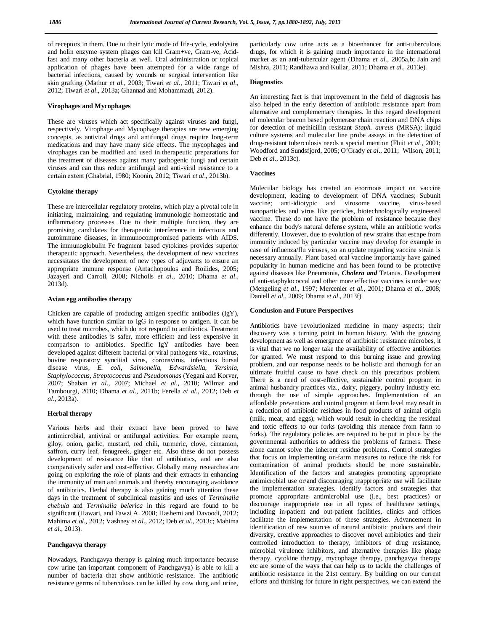of receptors in them. Due to their lytic mode of life-cycle, endolysins and holin enzyme system phages can kill Gram+ve, Gram-ve, Acidfast and many other bacteria as well. Oral administration or topical application of phages have been attempted for a wide range of bacterial infections, caused by wounds or surgical intervention like skin grafting (Mathur *et al*., 2003; Tiwari *et al*., 2011; Tiwari *et al*., 2012; Tiwari *et al*., 2013a; Ghannad and Mohammadi, 2012).

## **Virophages and Mycophages**

These are viruses which act specifically against viruses and fungi, respectively. Virophage and Mycophage therapies are new emerging concepts, as antiviral drugs and antifungal drugs require long-term medications and may have many side effects. The mycophages and virophages can be modified and used in therapeutic preparations for the treatment of diseases against many pathogenic fungi and certain viruses and can thus reduce antifungal and anti-viral resistance to a certain extent (Ghabrial, 1980; Koonin, 2012; Tiwari *et al*., 2013b).

## **Cytokine therapy**

These are intercellular regulatory proteins, which play a pivotal role in initiating, maintaining, and regulating immunologic homeostatic and inflammatory processes. Due to their multiple function, they are promising candidates for therapeutic interference in infectious and autoimmune diseases, in immunocompromised patients with AIDS. The immunoglobulin Fc fragment based cytokines provides superior therapeutic approach. Nevertheless, the development of new vaccines necessitates the development of new types of adjuvants to ensure an appropriate immune response (Antachopoulos and Roilides, 2005; Jazayeri and Carroll, 2008; Nicholls *et al*., 2010; Dhama *et al*., 2013d).

## **Avian egg antibodies therapy**

Chicken are capable of producing antigen specific antibodies (IgY), which have function similar to IgG in response to antigen. It can be used to treat microbes, which do not respond to antibiotics. Treatment with these antibodies is safer, more efficient and less expensive in comparison to antibiotics. Specific IgY antibodies have been developed against different bacterial or viral pathogens viz., rotavirus, bovine respiratory syncitial virus, coronavirus, infectious bursal disease virus*, E. coli, Salmonella, Edwardsiella*, *Yersinia, Staphylococcus, Streptococcus* and *Pseudomonas* (Yegani and Korver, 2007; Shaban *et al*., 2007; Michael *et al*., 2010; Wilmar and Tambourgi, 2010; Dhama *et al*., 2011b; Ferella *et al*., 2012; Deb *et al*., 2013a)*.*

#### **Herbal therapy**

Various herbs and their extract have been proved to have antimicrobial, antiviral or antifungal activities. For example neem, giloy, onion, garlic, mustard, red chili, turmeric, clove, cinnamon, saffron, curry leaf, fenugreek, ginger etc. Also these do not possess development of resistance like that of antibiotics, and are also comparatively safer and cost-effective. Globally many researches are going on exploring the role of plants and their extracts in enhancing the immunity of man and animals and thereby encouraging avoidance of antibiotics. Herbal therapy is also gaining much attention these days in the treatment of subclinical mastitis and uses of *Terminalia chebula* and *Terminalia belerica* in this regard are found to be significant (Hawari, and Fawzi A. 2008; Hashemi and Davoodi, 2012; Mahima *et al*., 2012; Vashney *et al*., 2012; Deb *et al*., 2013c; Mahima *et al*., 2013).

## **Panchgavya therapy**

Nowadays, Panchgavya therapy is gaining much importance because cow urine (an important component of Panchgavya) is able to kill a number of bacteria that show antibiotic resistance. The antibiotic resistance germs of tuberculosis can be killed by cow dung and urine,

particularly cow urine acts as a bioenhancer for anti-tuberculous drugs, for which it is gaining much importance in the international market as an anti-tubercular agent (Dhama *et al*., 2005a,b; Jain and Mishra, 2011; Randhawa and Kullar, 2011; Dhama *et al*., 2013e).

## **Diagnostics**

An interesting fact is that improvement in the field of diagnosis has also helped in the early detection of antibiotic resistance apart from alternative and complementary therapies. In this regard development of molecular beacon based polymerase chain reaction and DNA chips for detection of methicillin resistant *Staph. aureus* (MRSA); liquid culture systems and molecular line probe assays in the detection of drug-resistant tuberculosis needs a special mention (Fluit *et al*., 2001; Woodford and Sundsfjord, 2005; O'Grady *et al*., 2011; Wilson, 2011; Deb *et al*., 2013c).

## **Vaccines**

Molecular biology has created an enormous impact on vaccine development, leading to development of DNA vaccines; Subunit vaccine; anti-idiotypic and virosome vaccine, virus-based nanoparticles and virus like particles, biotechnologically engineered vaccine. These do not have the problem of resistance because they enhance the body's natural defense system, while an antibiotic works differently. However, due to evolution of new strains that escape from immunity induced by particular vaccine may develop for example in case of influenza/flu viruses, so an update regarding vaccine strain is necessary annually. Plant based oral vaccine importantly have gained popularity in human medicine and has been found to be protective against diseases like Pneumonia, *Cholera and* Tetanus. Development of anti-staphylococcal and other more effective vaccines is under way (Mengeling *et al*., 1997; Mercenier *et al*., 2001; Dhama *et al*., 2008; Daniell *et al*., 2009; Dhama *et al*., 2013f).

## **Conclusion and Future Perspectives**

Antibiotics have revolutionized medicine in many aspects; their discovery was a turning point in human history. With the growing development as well as emergence of antibiotic resistance microbes, it is vital that we no longer take the availability of effective antibiotics for granted. We must respond to this burning issue and growing problem, and our response needs to be holistic and thorough for an ultimate fruitful cause to have check on this precarious problem. There is a need of cost-effective, sustainable control program in animal husbandry practices viz., dairy, piggery, poultry industry etc. through the use of simple approaches. Implementation of an affordable preventions and control program at farm level may result in a reduction of antibiotic residues in food products of animal origin (milk, meat, and eggs), which would result in checking the residual and toxic effects to our forks (avoiding this menace from farm to forks). The regulatory policies are required to be put in place by the governmental authorities to address the problems of farmers. These alone cannot solve the inherent residue problems. Control strategies that focus on implementing on-farm measures to reduce the risk for contamination of animal products should be more sustainable. Identification of the factors and strategies promoting appropriate antimicrobial use or/and discouraging inappropriate use will facilitate the implementation strategies. Identify factors and strategies that promote appropriate antimicrobial use (i.e., best practices) or discourage inappropriate use in all types of healthcare settings, including in-patient and out-patient facilities, clinics and offices facilitate the implementation of these strategies. Advancement in identification of new sources of natural antibiotic products and their diversity, creative approaches to discover novel antibiotics and their controlled introduction to therapy, inhibitors of drug resistance, microbial virulence inhibitors, and alternative therapies like phage therapy, cytokine therapy, mycophage therapy, panchgavya therapy etc are some of the ways that can help us to tackle the challenges of antibiotic resistance in the 21st century. By building on our current efforts and thinking for future in right perspectives, we can extend the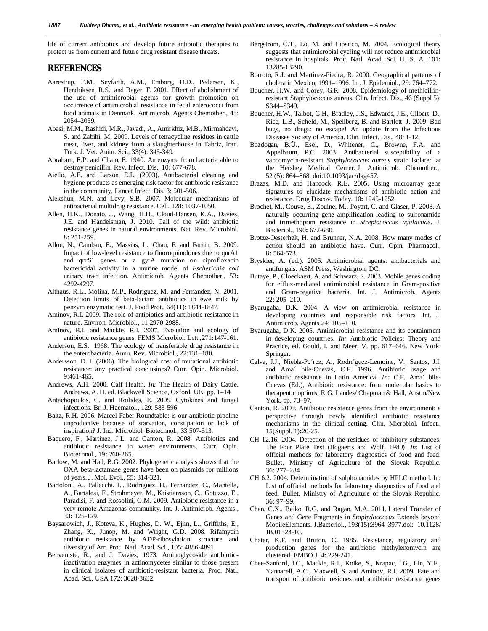life of current antibiotics and develop future antibiotic therapies to protect us from current and future drug resistant disease threats.

## **REFERENCES**

- Aarestrup, F.M., Seyfarth, A.M., Emborg, H.D., Pedersen, K., Hendriksen, R.S., and Bager, F. 2001. Effect of abolishment of the use of antimicrobial agents for growth promotion on occurrence of antimicrobial resistance in fecal enterococci from food animals in Denmark. Antimicrob. Agents Chemother., 45: 2054–2059.
- Abasi, M.M., Rashidi, M.R., Javadi, A., Amirkhiz, M.B., Mirmahdavi, S. and Zabihi, M. 2009. Levels of tetracycline residues in cattle meat, liver, and kidney from a slaughterhouse in Tabriz, Iran. Turk. J. Vet. Anim. Sci., 33(4): 345-349.
- Abraham, E.P. and Chain, E. 1940. An enzyme from bacteria able to destroy penicillin. Rev. Infect. Dis., 10**:** 677-678.
- Aiello, A.E. and Larson, E.L. (2003). Antibacterial cleaning and hygiene products as emerging risk factor for antibiotic resistance in the community. Lancet Infect. Dis. 3: 501-506.
- Alekshun, M.N. and Levy, S.B. 2007. Molecular mechanisms of antibacterial multidrug resistance. Cell. 128: 1037-1050.
- Allen, H.K., Donato, J., Wang, H.H., Cloud-Hansen, K.A., Davies, J.E. and Handelsman, J. 2010. Call of the wild: antibiotic resistance genes in natural environments. Nat. Rev. Microbiol. 8**:** 251-259.
- Allou, N., Cambau, E., Massias, L., Chau, F. and Fantin, B. 2009. Impact of low-level resistance to fluoroquinolones due to qnrA1 and qnrS1 genes or a gyrA mutation on ciprofloxacin bactericidal activity in a murine model of *Escherichia coli* urinary tract infection. Antimicrob. Agents Chemother., 53**:**  4292-4297.
- Althaus, R.L., Molina, M.P., Rodriguez, M. and Fernandez, N. 2001. Detection limits of beta-lactam antibiotics in ewe milk by penzym enzymatic test*.* J. Food Prot., 64(11): 1844-1847.
- Aminov, R.I. 2009. The role of antibiotics and antibiotic resistance in nature. Environ. Microbiol., 11:2970-2988.
- Aminov, R.I. and Mackie, R.I. 2007. Evolution and ecology of antibiotic resistance genes. FEMS Microbiol. Lett.,271**:**147-161.
- Anderson, E.S. 1968. The ecology of transferable drug resistance in the enterobacteria. Annu. Rev. Microbiol., 22:131–180.
- Andersson, D. I. (2006). The biological cost of mutational antibiotic resistance: any practical conclusions? Curr. Opin. Microbiol. 9:461-465.
- Andrews, A.H. 2000. Calf Health. *In:* The Health of Dairy Cattle. Andrews, A. H. ed. Blackwell Science, Oxford, UK. pp. 1–14.
- Antachopoulos, C. and Roilides, E. 2005. Cytokines and fungal infections. Br. J. Haematol., 129: 583-596.
- Baltz, R.H. 2006. Marcel Faber Roundtable: is our antibiotic pipeline unproductive because of starvation, constipation or lack of inspiration? J. Ind. Microbiol. Biotechnol., 33:507-513.
- Baquero, F., Martinez, J.L. and Canton, R. 2008. Antibiotics and antibiotic resistance in water environments. Curr. Opin. Biotechnol., 19**:** 260-265.
- Barlow, M. and Hall, B.G. 2002. Phylogenetic analysis shows that the OXA beta-lactamase genes have been on plasmids for millions of years. J. Mol. Evol., 55: 314-321.
- Bartoloni, A., Pallecchi, L., Rodriguez, H., Fernandez, C., Mantella, A., Bartalesi, F., Strohmeyer, M., Kristiansson, C., Gotuzzo, E., Paradisi, F. and Rossolini, G.M. 2009. Antibiotic resistance in a very remote Amazonas community. Int. J. Antimicrob. Agents., 33**:** 125-129.
- Baysarowich, J., Koteva, K., Hughes, D. W., Ejim, L., Griffiths, E., Zhang, K., Junop, M. and Wright, G.D. 2008. Rifamycin antibiotic resistance by ADP-ribosylation: structure and diversity of Arr. Proc. Natl. Acad. Sci., 105: 4886-4891.
- Benveniste, R., and J. Davies, 1973. Aminoglycoside antibioticinactivation enzymes in actinomycetes similar to those present in clinical isolates of antibiotic-resistant bacteria. Proc. Natl. Acad. Sci., USA 172: 3628-3632.
- Bergstrom, C.T., Lo, M. and Lipsitch, M. 2004. Ecological theory suggests that antimicrobial cycling will not reduce antimicrobial resistance in hospitals. Proc. Natl. Acad. Sci. U. S. A. 101**:**  13285-13290.
- Borroto, R.J. and Martinez-Piedra, R. 2000. Geographical patterns of cholera in Mexico, 1991–1996. Int. J. Epidemiol., 29: 764–772.
- Boucher, H.W. and Corey, G.R. 2008. Epidemiology of methicillinresistant Staphylococcus aureus. Clin. Infect. Dis., 46 (Suppl 5): S344–S349.
- Boucher, H.W., Talbot, G.H., Bradley, J.S., Edwards, J.E., Gilbert, D., Rice, L.B., Scheld, M., Spellberg, B. and Bartlett, J. 2009. Bad bugs, no drugs: no escape! An update from the Infectious Diseases Society of America. Clin. Infect. Dis., 48: 1-12.
- Bozdogan, B.Ü., Esel, D., Whitener, C., Browne, F.A. and Appelbaum, P.C. 2003. Antibacterial susceptibility of a vancomycin-resistant *Staphylococcus aureus* strain isolated at the Hershey Medical Center. J. Antimicrob. Chemother., 52 (5): 864–868. doi:10.1093/jac/dkg457.
- Brazas, M.D. and Hancock, R.E**.** 2005. Using microarray gene signatures to elucidate mechanisms of antibiotic action and resistance. Drug Discov. Today. 10**:** 1245-1252.
- Brochet, M., Couve, E., Zouine, M., Poyart, C. and Glaser, P. 2008. A naturally occurring gene amplification leading to sulfonamide and trimethoprim resistance in *Streptococcus agalactiae*. J. Bacteriol., 190**:** 672-680.
- Brotze-Oesterhelt, H. and Brunner, N.A. 2008. How many modes of action should an antibiotic have. Curr. Opin. Pharmacol., 8**:** 564-573.
- Bryskier, A. (ed.). 2005. Antimicrobial agents: antibacterials and antifungals. ASM Press, Washington, DC.
- Butaye, P., Cloeckaert, A. and Schwarz, S. 2003. Mobile genes coding for efflux-mediated antimicrobial resistance in Gram-positive and Gram-negative bacteria. Int. J. Antimicrob. Agents 22: 205–210.
- Byarugaba, D.K. 2004. A view on antimicrobial resistance in developing countries and responsible risk factors. Int. J. Antimicrob. Agents 24: 105–110.
- Byarugaba, D.K. 2005. Antimicrobial resistance and its containment in developing countries. *In:* Antibiotic Policies: Theory and Practice, ed. Gould, I. and Meer, V. pp. 617–646. New York: Springer.
- Calva, J.J., Niebla-Pe´rez, A., Rodrı´guez-Lemoine, V., Santos, J.I. and Ama´ bile-Cuevas, C.F. 1996. Antibiotic usage and antibiotic resistance in Latin America. *In:* C.F. Ama´ bile-Cuevas (Ed.), Antibiotic resistance: from molecular basics to therapeutic options. R.G. Landes/ Chapman & Hall, Austin/New York, pp. 73–97.
- Canton, R. 2009. Antibiotic resistance genes from the environment: a perspective through newly identified antibiotic resistance mechanisms in the clinical setting. Clin. Microbiol. Infect., 15(Suppl. 1)**:**20-25.
- CH 12.16. 2004. Detection of the residues of inhibitory substances. The Four Plate Test (Bogaerts and Wolf, 1980). *In:* List of official methods for laboratory diagnostics of food and feed. Bullet. Ministry of Agriculture of the Slovak Republic. 36: 277–284
- CH 6.2. 2004. Determination of sulphonamides by HPLC method. In: List of official methods for laboratory diagnostics of food and feed. Bullet. Ministry of Agriculture of the Slovak Republic. 36: 97–99.
- Chan, C.X., Beiko, R.G. and Ragan, M.A. 2011. Lateral Transfer of Genes and Gene Fragments in *Staphylococcus* Extends beyond MobileElements. J.Bacteriol., 193(15):3964–3977.doi: 10.1128/ JB.01524-10.
- Chater, K.F. and Bruton, C**.** 1985. Resistance, regulatory and production genes for the antibiotic methylenomycin are clustered. EMBO J. 4**:** 229-241.
- Chee-Sanford, J.C., Mackie, R.I., Koike, S., Krapac, I.G., Lin, Y.F., Yannarell, A.C., Maxwell, S. and Aminov, R.I. 2009. Fate and transport of antibiotic residues and antibiotic resistance genes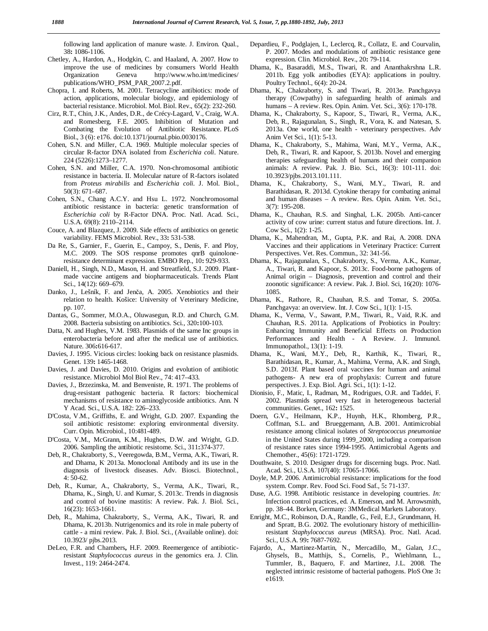following land application of manure waste. J. Environ. Qual., 38**:** 1086-1106.

- Chetley, A., Hardon, A., Hodgkin, C. and Haaland, A. 2007. How to improve the use of medicines by consumers World Health Organization Geneva http://www.who.int/medicines/ publications/WHO\_PSM\_PAR\_2007.2.pdf.
- Chopra, I. and Roberts, M. 2001. Tetracycline antibiotics: mode of action, applications, molecular biology, and epidemiology of bacterial resistance. Microbiol. Mol. Biol. Rev., 65(2): 232-260.
- Cirz, R.T., Chin, J.K., Andes, D.R., de Crécy-Lagard, V., Craig, W.A. and Romesberg, F.E. 2005. Inhibition of Mutation and Combating the Evolution of Antibiotic Resistance. PLoS Biol., 3 (6): e176. doi:10.1371/journal.pbio.0030176.
- Cohen, S.N. and Miller, C.A. 1969. Multiple molecular species of circular R-factor DNA isolated from *Escherichia coli*. Nature. 224 (5226):1273–1277.
- Cohen, S.N. and Miller, C.A. 1970. Non-chromosomal antibiotic resistance in bacteria. II. Molecular nature of R-factors isolated from *Proteus mirabilis* and *Escherichia coli*. J. Mol. Biol., 50(3): 671–687.
- Cohen, S.N., Chang A.C.Y. and Hsu L. 1972. Nonchromosomal antibiotic resistance in bacteria: genetic transformation of *Escherichia coli* by R-Factor DNA. Proc. Natl. Acad. Sci., U.S.A. 69(8): 2110–2114.
- Couce, A. and Blazquez, J. 2009. Side effects of antibiotics on genetic variability. FEMS Microbiol. Rev., 33**:** 531-538.
- Da Re, S., Garnier, F., Guerin, E., Campoy, S., Denis, F. and Ploy, M.C. 2009. The SOS response promotes qnrB quinoloneresistance determinant expression. EMBO Rep., 10**:** 929-933.
- Daniell, H., Singh, N.D., Mason, H. and Streatfield, S.J. 2009. Plantmade vaccine antigens and biopharmaceuticals. Trends Plant Sci., 14(12): 669–679.
- Danko, J., Lešník, F. and Jenča, A. 2005. Xenobiotics and their relation to health. Košice: University of Veterinary Medicine, pp. 107.
- Dantas, G., Sommer, M.O.A., Oluwasegun, R.D. and Church, G.M. 2008. Bacteria subsisting on antibiotics. Sci., 320**:**100-103.
- Datta, N. and Hughes, V.M. 1983. Plasmids of the same Inc groups in enterobacteria before and after the medical use of antibiotics. Nature. 306**:**616-617.
- Davies, J. 1995. Vicious circles: looking back on resistance plasmids. Genet. 139**:** 1465-1468.
- Davies, J. and Davies, D. 2010. Origins and evolution of antibiotic resistance*.* Microbiol Mol Biol Rev., 74: 417*–*433*.*
- Davies, J., Brzezinska, M. and Benveniste, R. 1971. The problems of drug-resistant pathogenic bacteria. R factors: biochemical mechanisms of resistance to aminoglycoside antibiotics. Ann. N Y Acad. Sci., U.S.A. 182: 226–233.
- D'Costa, V.M., Griffiths, E. and Wright, G.D. 2007. Expanding the soil antibiotic resistome: exploring environmental diversity. Curr. Opin. Microbiol., 10:481-489.
- D'Costa, V.M., McGrann, K.M., Hughes, D.W. and Wright, G.D. 2006. Sampling the antibiotic resistome. Sci., 311**:**374-377.
- Deb, R., Chakraborty, S., Veeregowda, B.M., Verma, A.K., Tiwari, R. and Dhama, K. 2013a. Monoclonal Antibody and its use in the diagnosis of livestock diseases. Adv. Biosci. Biotechnol., 4: 50-62.
- Deb, R., Kumar, A., Chakraborty, S., Verma, A.K., Tiwari, R., Dhama, K., Singh, U. and Kumar, S. 2013c. Trends in diagnosis and control of bovine mastitis: A review. Pak. J. Biol. Sci., 16(23): 1653-1661.
- Deb, R., Mahima, Chakraborty, S., Verma, A.K., Tiwari, R. and Dhama, K. 2013b. Nutrigenomics and its role in male puberty of cattle - a mini review. Pak. J. Biol. Sci., (Available online). doi: 10.3923/ pjbs.2013.
- DeLeo, F.R. and Chambers**,** H.F. 2009. Reemergence of antibioticresistant *Staphylococcus aureus* in the genomics era. J. Clin. Invest., 119: 2464-2474.
- Depardieu, F., Podglajen, I., Leclercq, R., Collatz, E. and Courvalin, P. 2007. Modes and modulations of antibiotic resistance gene expression. Clin. Microbiol. Rev., 20**:** 79-114.
- Dhama, K., Basaraddi, M.S., Tiwari, R. and Ananthakrshna L.R. 2011b. Egg yolk antibodies (EYA): applications in poultry. Poultry Technol., 6(4): 20-24.
- Dhama, K., Chakraborty, S. and Tiwari, R. 2013e. Panchgavya therapy (Cowpathy) in safeguarding health of animals and humans – A review. Res. Opin. Anim. Vet. Sci., 3(6): 170-178.
- Dhama, K., Chakraborty, S., Kapoor, S., Tiwari, R., Verma, A.K., Deb, R., Rajagunalan, S., Singh, R., Vora, K. and Natesan, S. 2013a. One world, one health - veterinary perspectives. Adv Anim Vet Sci., 1(1): 5-13.
- Dhama, K., Chakraborty, S., Mahima, Wani, M.Y., Verma, A.K., Deb, R., Tiwari, R. and Kapoor, S. 2013b. Novel and emerging therapies safeguarding health of humans and their companion animals: A review. Pak. J. Bio. Sci., 16(3): 101-111. doi: 10.3923/pjbs.2013.101.111.
- Dhama, K., Chakraborty, S., Wani, M.Y., Tiwari, R. and Barathidasan, R. 2013d. Cytokine therapy for combating animal and human diseases – A review. Res. Opin. Anim. Vet. Sci., 3(7): 195-208.
- Dhama, K., Chauhan, R.S. and Singhal, L.K. 2005b. Anti-cancer activity of cow urine: current status and future directions. Int. J. Cow Sci., 1(2): 1-25.
- Dhama, K., Mahendran, M., Gupta, P.K. and Rai, A. 2008. DNA Vaccines and their applications in Veterinary Practice: Current Perspectives. Vet. Res. Commun., 32: 341-56.
- Dhama, K., Rajagunalan, S., Chakraborty, S., Verma, A.K., Kumar, A., Tiwari, R. and Kapoor, S. 2013c. Food-borne pathogens of Animal origin – Diagnosis, prevention and control and their zoonotic significance: A review. Pak. J. Biol. Sci, 16(20): 1076- 1085.
- Dhama, K., Rathore, R., Chauhan, R.S. and Tomar, S. 2005a. Panchgavya: an overview. Int. J. Cow Sci., 1(1): 1-15.
- Dhama, K., Verma, V., Sawant, P.M., Tiwari, R., Vaid, R.K. and Chauhan, R.S. 2011a. Applications of Probiotics in Poultry: Enhancing Immunity and Beneficial Effects on Production Performances and Health - A Review. J. Immunol. Immunopathol., 13(1): 1-19.
- Dhama, K., Wani, M.Y., Deb, R., Karthik, K., Tiwari, R., Barathidasan, R., Kumar, A., Mahima, Verma, A.K. and Singh, S.D. 2013f. Plant based oral vaccines for human and animal pathogens- A new era of prophylaxis: Current and future perspectives. J. Exp. Biol. Agri. Sci., 1(1): 1-12.
- Dionisio, F., Matic, I., Radman, M., Rodrigues, O.R. and Taddei, F. 2002. Plasmids spread very fast in heterogeneous bacterial communities. Genet., 162**:** 1525.
- Doern, G.V., Heilmann, K.P., Huynh, H.K., Rhomberg, P.R., Coffman, S.L. and Brueggemann, A.B. 2001. Antimicrobial resistance among clinical isolates of *Streptococcus pneumoniae* in the United States during 1999\_2000, including a comparison of resistance rates since 1994-1995. Antimicrobial Agents and Chemother., 45(6): 1721-1729.
- Douthwaite, S. 2010. Designer drugs for discerning bugs. Proc. Natl. Acad. Sci., U.S.A. 107(40): 17065-17066.
- Doyle, M.P. 2006. Antimicrobial resistance: implications for the food system. Compr. Rev. Food Sci. Food Saf., 5**:** 71-137.
- Duse, A.G. 1998. Antibiotic resistance in developing countries. *In:* Infection control practices, ed. A. Emerson, and M. Arrowsmith, pp. 38–44. Borken, Germany: 3MMedical Markets Laboratory.
- Enright, M.C., Robinson, D.A., Randle, G., Feil, E.J., Grundmann, H. and Spratt, B.G. 2002. The evolutionary history of methicillinresistant *Staphylococcus aureus* (MRSA). Proc. Natl. Acad. Sci., U.S.A. 99**:** 7687-7692.
- Fajardo, A., Martinez-Martin, N., Mercadillo, M., Galan, J.C., Ghysels, B., Matthijs, S., Cornelis, P., Wiehlmann, L., Tummler, B., Baquero, F. and Martinez, J.L. 2008. The neglected intrinsic resistome of bacterial pathogens. PloS One 3**:**  e1619.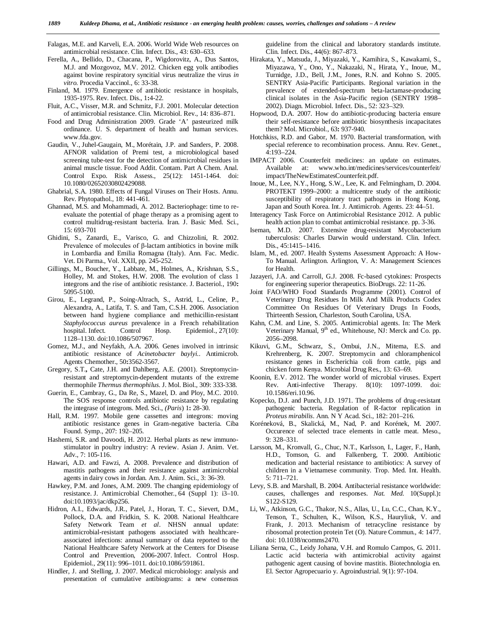Falagas, M.E. and Karveli, E.A. 2006. World Wide Web resources on antimicrobial resistance. Clin. Infect. Dis., 43: 630–633.

- Ferella, A., Bellido, D., Chacana, P., Wigdorovitz, A., Dus Santos, M.J. and Mozgovoz, M.V. 2012. Chicken egg yolk antibodies against bovine respiratory syncitial virus neutralize the virus *in vitro*. Procedia Vaccinol., 6: 33-38.
- Finland, M. 1979. Emergence of antibiotic resistance in hospitals, 1935-1975. Rev. Infect. Dis., 1**:**4-22.
- Fluit, A.C., Visser, M.R. and Schmitz, F.J. 2001. Molecular detection of antimicrobial resistance. Clin. Microbiol. Rev., 14: 836–871.
- Food and Drug Administration 2009. Grade 'A' pasteurized milk ordinance. U. S. department of health and human services. www.fda.gov.
- Gaudin, V., Juhel-Gaugain, M., Morétain, J.P. and Sanders, P. 2008. AFNOR validation of Premi test, a microbiological based screening tube-test for the detection of antimicrobial residues in animal muscle tissue. Food Addit. Contam. Part A Chem. Anal. Control Expo. Risk Assess., 25(12): 1451-1464. doi: 10.1080/02652030802429088.
- Ghabrial, S.A. 1980. Effects of Fungal Viruses on Their Hosts. Annu. Rev. Phytopathol., 18: 441-461.
- Ghannad, M.S. and Mohammadi, A. 2012. Bacteriophage: time to reevaluate the potential of phage therapy as a promising agent to control multidrug-resistant bacteria. Iran. J. Basic Med. Sci., 15: 693-701
- Ghidini, S., Zanardi, E., Varisco, G. and Chizzolini, R. 2002. Prevalence of molecules of β-lactam antibiotics in bovine milk in Lombardia and Emilia Romagna (Italy). Ann. Fac. Medic. Vet. Di Parma., Vol. XXII, pp. 245-252.
- Gillings, M., Boucher, Y., Labbate, M., Holmes, A., Krishnan, S.S., Holley, M. and Stokes, H.W. 2008. The evolution of class 1 integrons and the rise of antibiotic resistance. J. Bacteriol., 190**:**  5095-5100.
- Girou, E., Legrand, P., Soing-Altrach, S., Astrid, L., Celine, P., Alexandra, A., Latifa, T. S. and Tam, C.S.H. 2006. Association between hand hygiene compliance and methicillin-resistant *Staphylococcus aureus* prevalence in a French rehabilitation hospital. Infect. Control Hosp. Epidemiol., 27(10): 1128–1130. doi:10.1086/507967.
- Gomez, M.J., and Neyfakh, A.A. 2006. Genes involved in intrinsic antibiotic resistance of *Acinetobacter baylyi.*. Antimicrob. Agents Chemother., 50**:**3562-3567.
- Gregory, S.T.**,** Cate, J.H. and Dahlberg, A.E. (2001). Streptomycinresistant and streptomycin-dependent mutants of the extreme thermophile *Thermus thermophilus*. J. Mol. Biol., 309: 333-338.
- Guerin, E., Cambray, G., Da Re, S., Mazel, D. and Ploy, M.C. 2010. The SOS response controls antibiotic resistance by regulating the integrase of integrons. Med. Sci., *(Paris*) 1**:** 28-30.
- Hall, R.M. 1997. Mobile gene cassettes and integrons: moving antibiotic resistance genes in Gram-negative bacteria. Ciba Found. Symp., 207: 192–205.
- Hashemi, S.R. and Davoodi, H. 2012. Herbal plants as new immunostimulator in poultry industry: A review. Asian J. Anim. Vet. Adv., 7: 105-116.
- Hawari, A.D. and Fawzi, A. 2008. Prevalence and distribution of mastitis pathogens and their resistance against antimicrobial agents in dairy cows in Jordan. Am. J. Anim. Sci., 3: 36-39.
- Hawkey, P.M. and Jones, A.M. 2009. The changing epidemiology of resistance. J. Antimicrobial Chemother., 64 (Suppl 1): i3–10. doi:10.1093/jac/dkp256.
- Hidron, A.I., Edwards, J.R., Patel, J., Horan, T. C., Sievert, D.M., Pollock, D.A. and Fridkin, S. K. 2008. National Healthcare Safety Network Team *et al*. NHSN annual update: antimicrobial-resistant pathogens associated with healthcareassociated infections: annual summary of data reported to the National Healthcare Safety Network at the Centers for Disease Control and Prevention, 2006-2007. Infect. Control Hosp. Epidemiol., 29(11): 996–1011. doi:10.1086/591861.
- Hindler, J. and Stelling, J. 2007. Medical microbiology: analysis and presentation of cumulative antibiograms: a new consensus

guideline from the clinical and laboratory standards institute. Clin. Infect. Dis., 44(6): 867–873.

- Hirakata, Y., Matsuda, J., Miyazaki, Y., Kamihira, S., Kawakami, S., Miyazawa, Y., Ono, Y., Nakazaki, N., Hirata, Y., Inoue, M., Turnidge, J.D., Bell, J.M., Jones, R.N. and Kohno S. 2005. SENTRY Asia-Pacific Participants. Regional variation in the prevalence of extended-spectrum beta-lactamase-producing clinical isolates in the Asia-Pacific region (SENTRY 1998– 2002). Diagn. Microbiol. Infect. Dis., 52: 323–329.
- Hopwood, D.A. 2007. How do antibiotic-producing bacteria ensure their self-resistance before antibiotic biosynthesis incapacitates them? Mol. Microbiol., 63**:** 937-940.
- Hotchkiss, R.D. and Gabor, M. 1970. Bacterial transformation, with special reference to recombination process. Annu. Rev. Genet., 4:193–224.
- IMPACT 2006. Counterfeit medicines: an update on estimates. Available at: www.who.int/medicines/services/counterfeit/ impact/TheNewEstimatesCounterfeit.pdf.
- Inoue, M., Lee, N.Y., Hong, S.W., Lee, K. and Felmingham, D. 2004. PROTEKT 1999–2000: a multicentre study of the antibiotic susceptibility of respiratory tract pathogens in Hong Kong, Japan and South Korea. Int. J. Antimicrob. Agents. 23: 44–51.
- Interagency Task Force on Antimicrobial Resistance 2012. A public health action plan to combat antimicrobial resistance. pp. 3-36.
- Iseman, M.D. 2007. Extensive drug-resistant Mycobacterium tuberculosis: Charles Darwin would understand. Clin. Infect. Dis., 45:1415–1416.
- Islam, M., ed. 2007. Health Systems Assessment Approach: A How-To Manual. Arlington. Arlington, V. A: Management Sciences for Health.
- Jazayeri, J.A. and Carroll, G.J. 2008. Fc-based cytokines: Prospects for engineering superior therapeutics. BioDrugs. 22: 11-26.
- Joint FAO/WHO Food Standards Programme (2001). Control of Veterinary Drug Residues In Milk And Milk Products Codex Committee On Residues Of Veterinary Drugs In Foods, Thirteenth Session, Charleston, South Carolina, USA.
- Kahn, C.M. and Line, S. 2005. Antimicrobial agents. In: The Merk Veterinary Manual, 9<sup>th</sup> ed., Whitehouse, NJ: Merck and Co. pp. 2056–2098.
- Kikuvi, G.M., Schwarz, S., Ombui, J.N., Mitema, E.S. and Krehrenberg, K. 2007. Streptomycin and chloramphenicol resistance genes in Escherichia coli from cattle, pigs and chicken form Kenya. Microbial Drug Res., 13: 63–69.
- Koonin, E.V. 2012. The wonder world of microbial viruses. Expert Rev. Anti-infective Therapy. 8(10): 1097-1099. doi: 10.1586/eri.10.96.
- Kopecko, D.J. and Punch, J.D. 1971. The problems of drug-resistant pathogenic bacteria. Regulation of R-factor replication in *Proteus mirabilis*. Ann. N Y Acad. Sci., 182: 201–216.
- Koréneková, B., Skalická, M., Nad, P. and Korének, M. 2007. Occurence of selected trace elements in cattle meat. Meso., 9: 328–331.
- Larsson, M., Kronvall, G., Chuc, N.T., Karlsson, I., Lager, F., Hanh, H.D., Tomson, G. and Falkenberg, T. 2000. Antibiotic medication and bacterial resistance to antibiotics: A survey of children in a Vietnamese community. Trop. Med. Int. Health. 5: 711–721.
- Levy, S.B. and Marshall, B. 2004. Antibacterial resistance worldwide: causes, challenges and responses. *Nat. Med.* 10(Suppl.)**:**  S122-S129.
- Li, W., Atkinson, G.C., Thakor, N.S., Allas, U., Lu, C.C., Chan, K.Y., Tenson, T., Schulten, K., Wilson, K.S., Hauryliuk, V. and Frank, J. 2013. Mechanism of tetracycline resistance by ribosomal protection protein Tet (O). Nature Commun., 4: 1477. doi: 10.1038/ncomms2470.
- Liliana Serna, C., Leidy Johana, V.H. and Romulo Campos, G. 2011. Lactic acid bacteria with antimicrobial activity against pathogenic agent causing of bovine mastitis. Biotechnologia en. El. Sector Agropecuario y. Agroindustrial. 9(1): 97-104.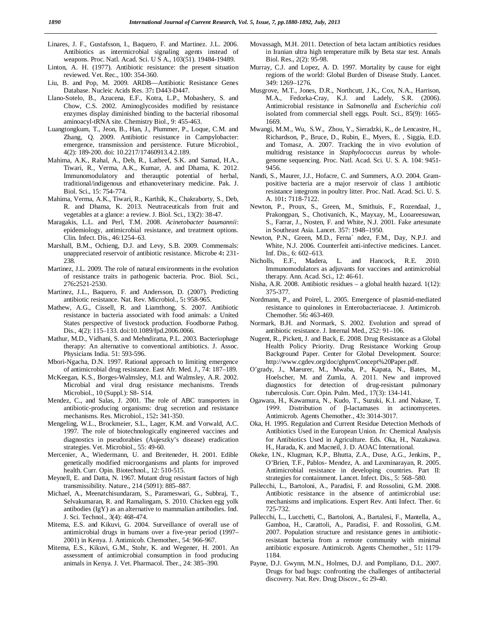- Linares, J. F., Gustafsson, I., Baquero, F. and Martinez. J.L. 2006. Antibiotics as intermicrobial signaling agents instead of weapons. Proc. Natl. Acad. Sci. U S A., 103(51). 19484-19489.
- Linton, A. H. (1977). Antibiotic resistance: the present situation reviewed. Vet. Rec., 100: 354-360.
- Liu, B. and Pop, M. 2009. ARDB—Antibiotic Resistance Genes Database. Nucleic Acids Res. 37**:** D443-D447.
- Llano-Sotelo, B., Azucena, E.F., Kotra, L.P., Mobashery, S. and Chow, C.S. 2002. Aminoglycosides modified by resistance enzymes display diminished binding to the bacterial ribosomal aminoacyl-tRNA site. Chemistry Biol., 9: 455-463.
- Luangtongkum, T., Jeon, B., Han, J., Plummer, P., Loque, C.M. and Zhang, Q. 2009. Antibiotic resistance in Campylobacter: emergence, transmission and persistence. Future Microbiol., 4(2): 189-200. doi: 10.2217/17460913.4.2.189.
- Mahima, A.K., Rahal, A., Deb, R., Latheef, S.K. and Samad, H.A., Tiwari, R., Verma, A.K., Kumar, A. and Dhama, K. 2012. Immunomodulatory and therauptic potential of herbal, traditional/indigenous and ethanoveterinary medicine. Pak. J. Biol. Sci., 15: 754-774.
- Mahima, Verma, A.K., Tiwari, R., Karthik, K., Chakraborty, S., Deb, R. and Dhama, K. 2013. Neutraceuticals from fruit and vegetables at a glance: a review. J. Biol. Sci., 13(2): 38-47.
- Maragakis, L.L. and Perl, T.M. 2008. *Acinetobacter baumannii*: epidemiology, antimicrobial resistance, and treatment options. Clin*.* Infect. Dis., 46:1254–63.
- Marshall, B.M., Ochieng, D.J. and Levy, S.B. 2009. Commensals: unappreciated reservoir of antibiotic resistance. Microbe 4**:** 231- 238.
- Martinez, J.L. 2009. The role of natural environments in the evolution of resistance traits in pathogenic bacteria. Proc. Biol. Sci., 276**:**2521-2530.
- Martinez, J.L., Baquero, F. and Andersson, D. (2007). Predicting antibiotic resistance. Nat. Rev. Microbiol., 5**:** 958-965.
- Mathew, A.G., Cissell, R. and Liamthong, S. 2007. Antibiotic resistance in bacteria associated with food animals: a United States perspective of livestock production. Foodborne Pathog. Dis., 4(2): 115–133. doi:10.1089/fpd.2006.0066.
- Mathur, M.D., Vidhani, S. and Mehndiratta, P.L. 2003. Bacteriophage therapy: An alternative to conventional antibiotics. J. Assoc. Physicians India. 51: 593-596.
- Mbori-Ngacha, D.N. 1997. Rational approach to limiting emergence of antimicrobial drug resistance. East Afr. Med. J., 74: 187–189.
- McKeegan, K.S., Borges-Walmsley, M.I. and Walmsley, A.R. 2002. Microbial and viral drug resistance mechanisms. Trends Microbiol., 10 (Suppl.): S8- S14.
- Mendez, C., and Salas, J. 2001. The role of ABC transporters in antibiotic-producing organisms: drug secretion and resistance mechanisms. Res. Microbiol., 152**:** 341-350.
- Mengeling, W.L., Brockmeier, S.L., Lager, K.M. and Vorwald, A.C. 1997. The role of biotechnologically engineered vaccines and diagnostics in pseudorabies (Aujeszky's disease) eradication strategies. Vet. Microbiol., 55: 49-60.
- Mercenier, A., Wiedermann, U. and Breiteneder, H. 2001. Edible genetically modified microorganisms and plants for improved health. Curr. Opin. Biotechnol., 12: 510-515.
- Meynell, E. and Datta, N. 1967. Mutant drug resistant factors of high transmissibility. Nature., 214 (5091): 885–887.
- Michael, A., Meenatchisundaram, S., Parameswari, G., Subbraj, T., Selvakumaran, R. and Ramalingam, S. 2010. Chicken egg yolk antibodies (IgY) as an alternative to mammalian antibodies. Ind. J. Sci. Technol., 3(4): 468-474.
- Mitema, E.S. and Kikuvi, G. 2004. Surveillance of overall use of antimicrobial drugs in humans over a five-year period (1997– 2001) in Kenya. J. Antimicob. Chemother., 54: 966-967.
- Mitema, E.S., Kikuvi, G.M., Stohr, K. and Wegener, H. 2001. An assessment of antimicrobial consumption in food producing animals in Kenya. J. Vet. Pharmacol. Ther., 24: 385–390.
- Movassagh, M.H. 2011. Detection of beta lactam antibiotics residues in Iranian ultra high temperature milk by Beta star test. Annals Biol. Res., 2(2): 95-98.
- Murray, C.J. and Lopez, A. D. 1997. Mortality by cause for eight regions of the world: Global Burden of Disease Study. Lancet. 349: 1269–1276.
- Musgrove, M.T., Jones, D.R., Northcutt, J.K., Cox, N.A., Harrison, M.A., Fedorka-Cray, K.J. and Ladely, S.R. (2006). Antimicrobial resistance in *Salmonella* and *Escherichia coli* isolated from commercial shell eggs. Poult. Sci., 85(9): 1665- 1669.
- Mwangi, M.M., Wu, S.W., Zhou, Y., Sieradzki, K., de Lencastre, H., Richardson, P., Bruce, D., Rubin, E., Myers, E. , Siggia, E.D. and Tomasz, A. 2007. Tracking the in vivo evolution of multidrug resistance in *Staphylococcus aureus* by wholegenome sequencing. Proc. Natl. Acad. Sci. U. S. A. 104: 9451- 9456.
- Nandi, S., Maurer, J.J., Hofacre, C. and Summers, A.O. 2004. Grampositive bacteria are a major reservoir of class 1 antibiotic resistance integrons in poultry litter. Proc. Natl. Acad. Sci. U. S. A. 101**:** 7118-7122.
- Newton, P., Proux, S., Green, M., Smithuis, F., Rozendaal, J., Prakongpan, S., Chotivanich, K., Mayxay, M., Looareesuwan, S., Farrar, J., Nosten, F. and White, N.J. 2001. Fake artesunate in Southeast Asia. Lancet. 357: 1948–1950.
- Newton, P.N., Green, M.D., Ferna´ ndez, F.M., Day, N.P.J. and White, N.J. 2006. Counterfeit anti-infective medicines. Lancet. Inf. Dis., 6: 602–613.<br>Nicholls, E.F., Madera,
- L. and Hancock, R.E. 2010. Immunomodulators as adjuvants for vaccines and antimicrobial therapy. Ann. Acad. Sci., 12: 46-61.
- Nisha, A.R. 2008. Antibiotic residues a global health hazard. 1(12): 375-377.
- Nordmann, P., and Poirel, L. 2005. Emergence of plasmid-mediated resistance to quinolones in Enterobacteriaceae. J. Antimicrob. Chemother. 56**:** 463-469.
- Normark, B.H. and Normark, S. 2002. Evolution and spread of antibiotic resistance. J. Internal Med., 252: 91–106.
- Nugent, R., Pickett, J. and Back, E. 2008. Drug Resistance as a Global Health Policy Priority. Drug Resistance Working Group Background Paper. Center for Global Development. Source: http://www.cgdev.org/doc/ghprn/Concept%20Paper.pdf.
- O'grady, J., Maeurer, M., Mwaba, P., Kapata, N., Bates, M., Hoelscher, M. and Zumla, A. 2011. New and improved diagnostics for detection of drug-resistant pulmonary tuberculosis. Curr. Opin. Pulm. Med., 17(3): 134-141.
- Ogawara, H., Kawamura, N., Kudo, T., Suzuki, K.I. and Nakase, T. 1999. Distribution of β-lactamases in actinomycetes. Antimicrob. Agents Chemother., 43**:** 3014-3017.
- Oka, H. 1995. Regulation and Current Residue Detection Methods of Antibiotics Used in the European Union. *In:* Chemical Analysis for Antibiotics Used in Agriculture. Eds. Oka, H., Nazakawa. H., Harada, K. and Macneil, J. D. AOAC International.
- Okeke, I.N., Klugman, K.P., Bhutta, Z.A., Duse, A.G., Jenkins, P., O'Brien, T.F., Pablos- Mendez, A. and Laxminarayan, R. 2005. Antimicrobial resistance in developing countries. Part II: strategies for containment. Lancet. Infect. Dis., 5: 568–580.
- Pallecchi, L., Bartoloni, A., Paradisi, F. and Rossolini, G.M. 2008. Antibiotic resistance in the absence of antimicrobial use: mechanisms and implications. Expert Rev. Anti Infect. Ther. 6**:**  725-732.
- Pallecchi, L., Lucchetti, C., Bartoloni, A., Bartalesi, F., Mantella, A., Gamboa, H., Carattoli, A., Paradisi, F. and Rossolini, G.M. 2007. Population structure and resistance genes in antibioticresistant bacteria from a remote community with minimal antibiotic exposure. Antimicrob. Agents Chemother., 51**:** 1179- 1184.
- Payne, D.J. Gwynn, M.N., Holmes, D.J. and Pompliano, D.L. 2007. Drugs for bad bugs: confronting the challenges of antibacterial discovery. Nat. Rev. Drug Discov., 6**:** 29-40.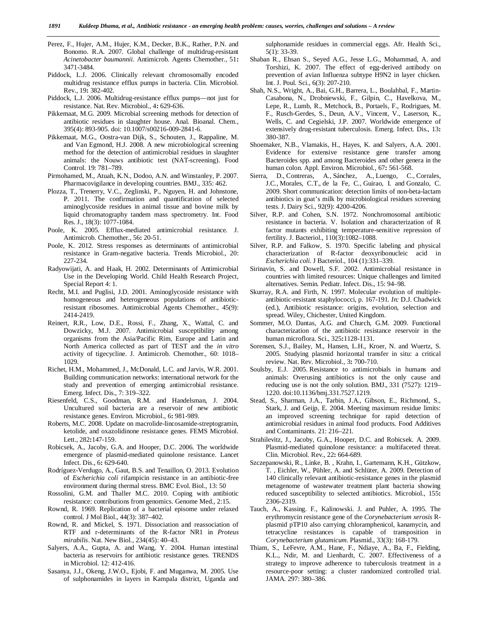- Perez, F., Hujer, A.M., Hujer, K.M., Decker, B.K., Rather, P.N. and Bonomo. R.A. 2007. Global challenge of multidrug-resistant *Acinetobacter baumannii*. Antimicrob. Agents Chemother., 51**:**  3471-3484.
- Piddock, L.J. 2006. Clinically relevant chromosomally encoded multidrug resistance efflux pumps in bacteria. Clin. Microbiol. Rev., 19**:** 382-402.
- Piddock, L.J. 2006. Multidrug-resistance efflux pumps—not just for resistance. Nat. Rev. Microbiol., 4**:** 629-636.
- Pikkemaat, M.G. 2009. Microbial screening methods for detection of antibiotic residues in slaughter house. Anal. Bioanal. Chem., 395(4): 893-905. doi: 10.1007/s00216-009-2841-6.
- Pikkemaat, M.G., Oostra-van Dijk, S., Schouten, J., Rappaline, M. and Van Egmond, H.J. 2008. A new microbiological screening method for the detection of antimicrobial residues in slaughter animals: the Nouws antibiotic test (NAT-screening). Food Control. 19: 781–789.
- Pirmohamed, M., Atuah, K.N., Dodoo, A.N. and Winstanley, P. 2007. Pharmacovigilance in developing countries. BMJ., 335: 462.
- Plozza, T., Trenerry, V.C., Zeglinski, P., Nguyen, H. and Johnstone, P. 2011. The confirmation and quantification of selected aminoglycoside residues in animal tissue and bovine milk by liquid chromatography tandem mass spectrometry. Int. Food Res. J., 18(3): 1077-1084.
- Poole, K. 2005. Efflux-mediated antimicrobial resistance. J. Antimicrob. Chemother., 56**:** 20-51.
- Poole, K. 2012. Stress responses as determinants of antimicrobial resistance in Gram-negative bacteria. Trends Microbiol., 20: 227-234.
- Radyowijati, A. and Haak, H. 2002. Determinants of Antimicrobial Use in the Developing World. Child Health Research Project, Special Report 4: 1.
- Recht, M.I. and Puglisi, J.D. 2001. Aminoglycoside resistance with homogeneous and heterogeneous populations of antibioticresistant ribosomes. Antimicrobial Agents Chemother., 45(9): 2414-2419.
- Reinert, R.R., Low, D.E., Rossi, F., Zhang, X., Wattal, C. and Dowzicky, M.J. 2007. Antimicrobial susceptibility among organisms from the Asia/Pacific Rim, Europe and Latin and North America collected as part of TEST and the *in vitro* activity of tigecycline. J. Antimicrob. Chemother., 60: 1018– 1029.
- Richet, H.M., Mohammed, J., McDonald, L.C. and Jarvis, W.R. 2001. Building communication networks: international network for the study and prevention of emerging antimicrobial resistance. Emerg. Infect. Dis., 7: 319–322.
- Riesenfeld, C.S., Goodman, R.M. and Handelsman, J. 2004. Uncultured soil bacteria are a reservoir of new antibiotic resistance genes. Environ. Microbiol., 6**:** 981-989.
- Roberts, M.C. 2008. Update on macrolide-lincosamide-streptogramin, ketolide, and oxazolidinone resistance genes. FEMS Microbiol. Lett., 282**:**147-159.
- Robicsek, A., Jacoby, G.A. and Hooper, D.C. 2006. The worldwide emergence of plasmid-mediated quinolone resistance. Lancet Infect. Dis., 6**:** 629-640.
- Rodríguez-Verdugo, A., Gaut, B.S. and Tenaillon, O. 2013. Evolution of *Escherichia coli* rifampicin resistance in an antibiotic-free environment during thermal stress. BMC Evol. Biol., 13: 50
- Rossolini, G.M. and Thaller M.C. 2010. Coping with antibiotic resistance: contributions from genomics. Genome Med., 2:15.
- Rownd, R. 1969. Replication of a bacterial episome under relaxed control. J Mol Biol., 44(3): 387–402.
- Rownd, R. and Mickel, S. 1971. Dissociation and reassociation of RTF and r-determinants of the R-factor NR1 in *Proteus mirabilis*. Nat. New Biol., 234(45): 40–43.
- Salyers, A.A., Gupta, A. and Wang, Y. 2004. Human intestinal bacteria as reservoirs for antibiotic resistance genes. TRENDS in Microbiol. 12: 412-416.
- Sasanya, J.J., Okeng, J.W.O., Ejobi, F. and Muganwa, M. 2005. Use of sulphonamides in layers in Kampala district, Uganda and

sulphonamide residues in commercial eggs. Afr. Health Sci., 5(1): 33-39.

- Shaban R., Ehsan S., Seyed A.G., Jesse L.G., Mohammad, A. and Torshizi, K. 2007. The effect of egg-derived antibody on prevention of avian Influenza subtype H9N2 in layer chicken. Int. J. Poul. Sci., 6(3): 207-210.
- Shah, N.S., Wright, A., Bai, G.H., Barrera, L., Boulahbal, F., Martin-Casabona, N., Drobniewski, F., Gilpin, C., Havelkova, M., Lepe, R., Lumb, R., Metchock, B., Portaels, F., Rodrigues, M. F., Rusch-Gerdes, S., Deun, A.V., Vincent, V., Laserson, K., Wells, C. and Cegielski, J.P. 2007. Worldwide emergence of extensively drug-resistant tuberculosis. Emerg. Infect. Dis., 13**:**  380-387.
- Shoemaker, N.B., Vlamakis, H., Hayes, K. and Salyers, A.A. 2001. Evidence for extensive resistance gene transfer among Bacteroides spp. and among Bacteroides and other genera in the human colon. Appl. Environ. Microbiol., 67**:** 561-568.
- Sierra, D., Contreras, A., Sánchez, A., Luengo, C., Corrales, J.C., Morales, C.T., de la Fe, C., Guirao, I. and Gonzalo, C. 2009. Short communication: detection limits of non-beta-lactam antibiotics in goat's milk by microbiological residues screening tests. J. Dairy Sci., 92(9): 4200-4206.
- Silver, R.P. and Cohen, S.N. 1972. Nonchromosomal antibiotic resistance in bacteria. V. Isolation and characterization of R factor mutants exhibiting temperature-sensitive repression of fertility. J. Bacteriol., 110(3):1082–1088.
- Silver, R.P. and Falkow, S. 1970. Specific labeling and physical characterization of R-factor deoxyribonucleic acid in *Escherichia coli*. J Bacteriol., 104 (1):331–339.
- Sirinavin, S. and Dowell, S.F. 2002. Antimicrobial resistance in countries with limited resources: Unique challenges and limited alternatives. Semin*.* Pediatr. Infect. Dis., 15: 94–98.
- Skurray, R.A. and Firth, N. 1997. Molecular evolution of multipleantibiotic-resistant staphylococci, p. 167-191. *In:* D.J. Chadwick (ed.), Antibiotic resistance: origins, evolution, selection and spread. Wiley, Chichester, United Kingdom.
- Sommer, M.O. Dantas, A.G. and Church, G.M. 2009. Functional characterization of the antibiotic resistance reservoir in the human microflora. Sci., 325**:**1128-1131.
- Sorensen, S.J., Bailey, M., Hansen, L.H., Kroer, N. and Wuertz, S. 2005. Studying plasmid horizontal transfer in situ: a critical review. Nat. Rev. Microbiol., 3**:** 700-710.
- Soulsby, E.J. 2005. Resistance to antimicrobials in humans and animals: Overusing antibiotics is not the only cause and reducing use is not the only solution. BMJ., 331 (7527): 1219– 1220. doi:10.1136/bmj.331.7527.1219.
- Stead, S., Sharman, J.A., Tarbin, J.A., Gibson, E., Richmond, S., Stark, J. and Geijp, E. 2004. Meeting maximum residue limits: an improved screening technique for rapid detection of antimicrobial residues in animal food products. Food Additives and Contaminants. 21: 216–221.
- Strahilevitz, J., Jacoby, G.A., Hooper, D.C. and Robicsek. A. 2009. Plasmid-mediated quinolone resistance: a multifaceted threat. Clin. Microbiol. Rev., 22**:** 664-689.
- Szczepanowski, R., Linke, B. , Krahn, I., Gartemann, K.H., Gützkow, T. , Eichler, W., Pühler, A. and Schlüter, A. 2009. Detection of 140 clinically relevant antibiotic-resistance genes in the plasmid metagenome of wastewater treatment plant bacteria showing reduced susceptibility to selected antibiotics. Microbiol., 155**:**  2306-2319.
- Tauch, A., Kassing. F., Kalinowski. J. and Puhler, A. 1995. The erythromycin resistance gene of the *Corynebacterium xerosis* Rplasmid pTP10 also carrying chloramphenicol, kanamycin, and tetracycline resistances is capable of transposition in *Corynebacterium glutamicum*. Plasmid., 33(3): 168-179.
- Thiam, S., LeFevre, A.M., Hane, F., Ndiaye, A., Ba, F., Fielding, K.L., Ndir, M. and Lienhardt, C. 2007. Effectiveness of a strategy to improve adherence to tuberculosis treatment in a resource-poor setting: a cluster randomized controlled trial. JAMA. 297: 380–386.